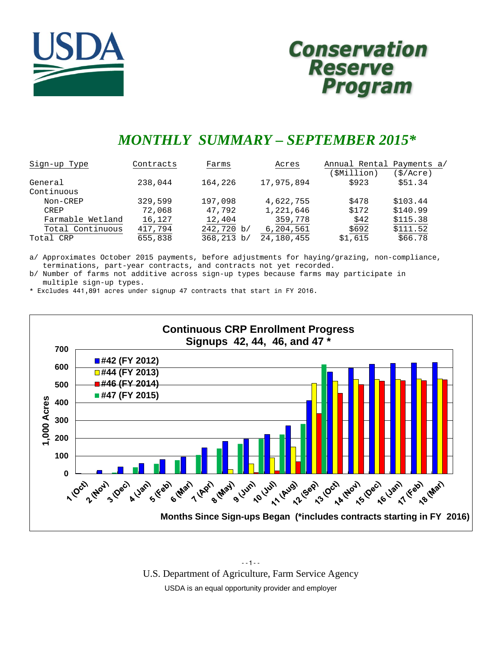

# **Conservation Reserve** Program

# *MONTHLY SUMMARY – SEPTEMBER 2015\**

| Sign-up Type     | Contracts | Farms      | Acres      | Annual Rental Payments a/<br>SMillion) | (\$/Acre) |
|------------------|-----------|------------|------------|----------------------------------------|-----------|
| General          | 238,044   | 164,226    | 17,975,894 | \$923                                  | \$51.34   |
| Continuous       |           |            |            |                                        |           |
| Non-CREP         | 329,599   | 197,098    | 4,622,755  | \$478                                  | \$103.44  |
| CREP             | 72,068    | 47,792     | 1,221,646  | \$172                                  | \$140.99  |
| Farmable Wetland | 16,127    | 12,404     | 359,778    | \$42                                   | \$115.38  |
| Total Continuous | 417,794   | 242,720 b/ | 6,204,561  | \$692                                  | \$111.52  |
| Total CRP        | 655,838   | 368,213 b/ | 24,180,455 | \$1,615                                | \$66.78   |

a/ Approximates October 2015 payments, before adjustments for haying/grazing, non-compliance, terminations, part-year contracts, and contracts not yet recorded.

b/ Number of farms not additive across sign-up types because farms may participate in multiple sign-up types.

\* Excludes 441,891 acres under signup 47 contracts that start in FY 2016.



--1-- U.S. Department of Agriculture, Farm Service Agency USDA is an equal opportunity provider and employer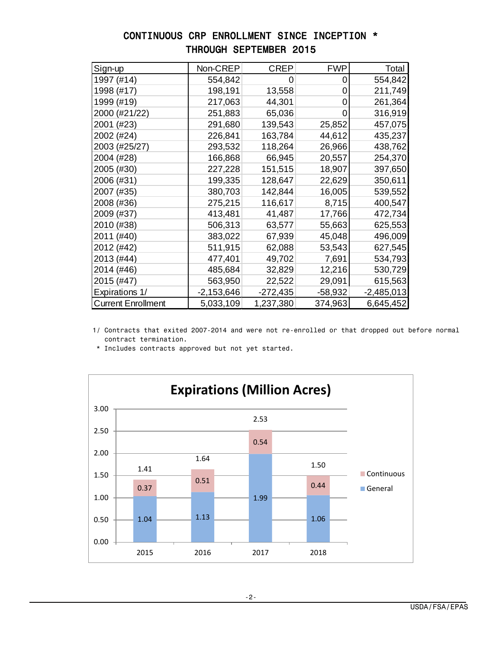# CONTINUOUS CRP ENROLLMENT SINCE INCEPTION \* THROUGH SEPTEMBER 2015

| Sign-up                   | Non-CREP     | <b>CREP</b> | <b>FWP</b> | Total        |
|---------------------------|--------------|-------------|------------|--------------|
| 1997 (#14)                | 554,842      |             | 0          | 554,842      |
| 1998 (#17)                | 198,191      | 13,558      | 0          | 211,749      |
| 1999 (#19)                | 217,063      | 44,301      | 0          | 261,364      |
| 2000 (#21/22)             | 251,883      | 65,036      | 0          | 316,919      |
| 2001 (#23)                | 291,680      | 139,543     | 25,852     | 457,075      |
| 2002 (#24)                | 226,841      | 163,784     | 44,612     | 435,237      |
| 2003 (#25/27)             | 293,532      | 118,264     | 26,966     | 438,762      |
| 2004 (#28)                | 166,868      | 66,945      | 20,557     | 254,370      |
| 2005 (#30)                | 227,228      | 151,515     | 18,907     | 397,650      |
| 2006 (#31)                | 199,335      | 128,647     | 22,629     | 350,611      |
| 2007 (#35)                | 380,703      | 142,844     | 16,005     | 539,552      |
| 2008 (#36)                | 275,215      | 116,617     | 8,715      | 400,547      |
| 2009 (#37)                | 413,481      | 41,487      | 17,766     | 472,734      |
| 2010 (#38)                | 506,313      | 63,577      | 55,663     | 625,553      |
| 2011 (#40)                | 383,022      | 67,939      | 45,048     | 496,009      |
| 2012 (#42)                | 511,915      | 62,088      | 53,543     | 627,545      |
| 2013 (#44)                | 477,401      | 49,702      | 7,691      | 534,793      |
| 2014 (#46)                | 485,684      | 32,829      | 12,216     | 530,729      |
| 2015 (#47)                | 563,950      | 22,522      | 29,091     | 615,563      |
| Expirations 1/            | $-2,153,646$ | $-272,435$  | $-58,932$  | $-2,485,013$ |
| <b>Current Enrollment</b> | 5,033,109    | 1,237,380   | 374,963    | 6,645,452    |

 1/ Contracts that exited 2007-2014 and were not re-enrolled or that dropped out before normal contract termination.

\* Includes contracts approved but not yet started.

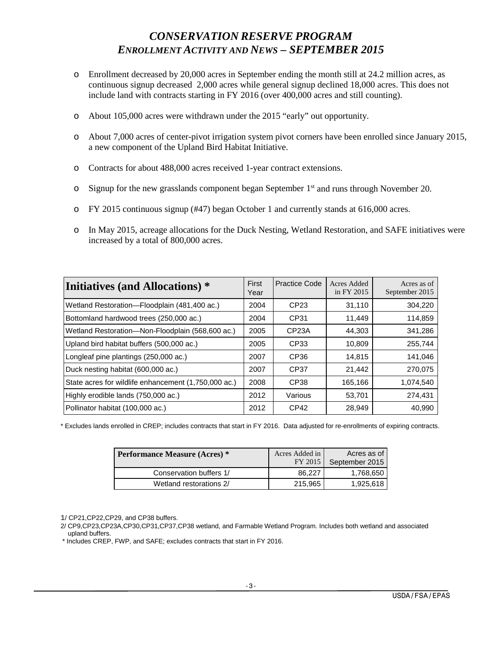# *CONSERVATION RESERVE PROGRAM ENROLLMENT ACTIVITY AND NEWS – SEPTEMBER 2015*

- o Enrollment decreased by 20,000 acres in September ending the month still at 24.2 million acres, as continuous signup decreased 2,000 acres while general signup declined 18,000 acres. This does not include land with contracts starting in FY 2016 (over 400,000 acres and still counting).
- o About 105,000 acres were withdrawn under the 2015 "early" out opportunity.
- o About 7,000 acres of center-pivot irrigation system pivot corners have been enrolled since January 2015, a new component of the Upland Bird Habitat Initiative.
- o Contracts for about 488,000 acres received 1-year contract extensions.
- $\circ$  Signup for the new grasslands component began September 1<sup>st</sup> and runs through November 20.
- o FY 2015 continuous signup (#47) began October 1 and currently stands at 616,000 acres.
- o In May 2015, acreage allocations for the Duck Nesting, Wetland Restoration, and SAFE initiatives were increased by a total of 800,000 acres.

| <b>Initiatives (and Allocations)</b> *               | First<br>Year | <b>Practice Code</b> | Acres Added<br>in FY 2015 | Acres as of<br>September 2015 |
|------------------------------------------------------|---------------|----------------------|---------------------------|-------------------------------|
| Wetland Restoration-Floodplain (481,400 ac.)         | 2004          | CP <sub>23</sub>     | 31,110                    | 304,220                       |
| Bottomland hardwood trees (250,000 ac.)              | 2004          | CP31                 | 11,449                    | 114,859                       |
| Wetland Restoration-Non-Floodplain (568,600 ac.)     | 2005          | CP <sub>23</sub> A   | 44.303                    | 341,286                       |
| Upland bird habitat buffers (500,000 ac.)            | 2005          | CP33                 | 10.809                    | 255.744                       |
| Longleaf pine plantings (250,000 ac.)                | 2007          | CP36                 | 14,815                    | 141,046                       |
| Duck nesting habitat (600,000 ac.)                   | 2007          | CP37                 | 21,442                    | 270,075                       |
| State acres for wildlife enhancement (1,750,000 ac.) | 2008          | CP38                 | 165,166                   | 1,074,540                     |
| Highly erodible lands (750,000 ac.)                  | 2012          | Various              | 53,701                    | 274,431                       |
| Pollinator habitat (100,000 ac.)                     | 2012          | CP42                 | 28,949                    | 40,990                        |

\* Excludes lands enrolled in CREP; includes contracts that start in FY 2016. Data adjusted for re-enrollments of expiring contracts.

| <b>Performance Measure (Acres)</b> * | Acres Added in<br>FY 2015 | Acres as of<br>September 2015 |
|--------------------------------------|---------------------------|-------------------------------|
| Conservation buffers 1/              | 86.227                    | 1,768,650                     |
| Wetland restorations 2/              | 215,965                   | 1,925,618                     |

1/ CP21,CP22,CP29, and CP38 buffers.

\* Includes CREP, FWP, and SAFE; excludes contracts that start in FY 2016.

 <sup>2/</sup> CP9,CP23,CP23A,CP30,CP31,CP37,CP38 wetland, and Farmable Wetland Program. Includes both wetland and associated upland buffers.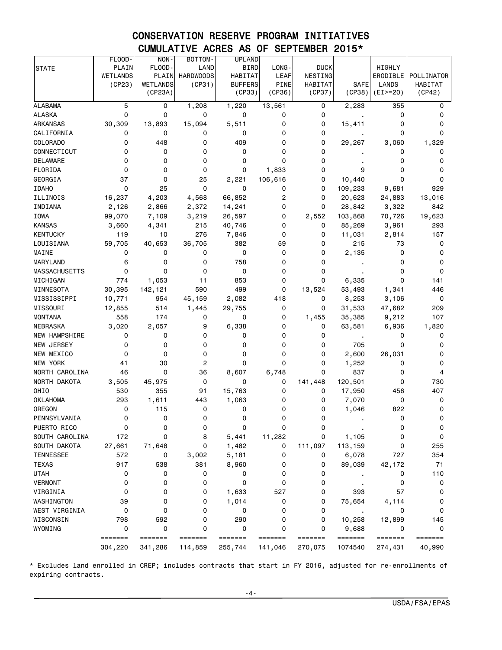# CONSERVATION RESERVE PROGRAM INITIATIVES CUMULATIVE ACRES AS OF SEPTEMBER 2015\*

|                      | FLOOD-   | NON-                                                             | BOTTOM-          | <b>UPLAND</b>                                                    |             |                |                |            |            |
|----------------------|----------|------------------------------------------------------------------|------------------|------------------------------------------------------------------|-------------|----------------|----------------|------------|------------|
| <b>STATE</b>         | PLAIN    | FLOOD-                                                           | LAND             | <b>BIRD</b>                                                      | LONG-       | <b>DUCK</b>    |                | HIGHLY     |            |
|                      | WETLANDS | PLAIN                                                            | <b>HARDWOODS</b> | HABITAT                                                          | LEAF        | NESTING        |                | ERODIBLE   | POLLINATOR |
|                      | (CP23)   | <b>WETLANDS</b>                                                  | (CP31)           | <b>BUFFERS</b>                                                   | <b>PINE</b> | <b>HABITAT</b> | SAFE           | LANDS      | HABITAT    |
|                      |          | (CP23A)                                                          |                  | (CP33)                                                           | (CP36)      | (CP37)         | (CP38)         | $(EI>=20)$ | (CP42)     |
| <b>ALABAMA</b>       | 5        | 0                                                                | 1,208            | 1,220                                                            | 13,561      | 0              | 2,283          | 355        | 0          |
| <b>ALASKA</b>        | 0        | 0                                                                | 0                | 0                                                                | 0           | 0              |                | 0          | 0          |
| <b>ARKANSAS</b>      | 30,309   | 13,893                                                           | 15,094           | 5,511                                                            | 0           | 0              | 15,411         | 0          | 0          |
| CALIFORNIA           | 0        | 0                                                                | 0                | 0                                                                | 0           | 0              |                | 0          | 0          |
| <b>COLORADO</b>      | 0        | 448                                                              | 0                | 409                                                              | 0           | 0              | 29,267         | 3,060      | 1,329      |
| CONNECTICUT          | 0        | 0                                                                | 0                | 0                                                                | 0           | 0              |                | 0          | 0          |
| <b>DELAWARE</b>      | 0        | 0                                                                | 0                | 0                                                                | 0           | 0              |                | 0          | 0          |
| FLORIDA              | 0        | 0                                                                | 0                | 0                                                                | 1,833       | 0              | 9              | 0          | 0          |
| GEORGIA              | 37       | 0                                                                | 25               | 2,221                                                            | 106,616     | 0              | 10,440         | 0          | 0          |
| <b>IDAHO</b>         | 0        | 25                                                               | 0                | 0                                                                | 0           | 0              | 109,233        | 9,681      | 929        |
| ILLINOIS             | 16,237   | 4,203                                                            | 4,568            | 66,852                                                           | 2           | 0              | 20,623         | 24,883     | 13,016     |
| INDIANA              | 2,126    | 2,866                                                            | 2,372            | 14,241                                                           | 0           | 0              | 28,842         | 3,322      | 842        |
| <b>IOWA</b>          | 99,070   | 7,109                                                            | 3,219            | 26,597                                                           | 0           | 2,552          | 103,868        | 70,726     | 19,623     |
| <b>KANSAS</b>        | 3,660    | 4,341                                                            | 215              | 40,746                                                           | 0           | 0              | 85,269         | 3,961      | 293        |
| <b>KENTUCKY</b>      | 119      | 10                                                               | 276              | 7,846                                                            | 0           | 0              | 11,031         | 2,814      | 157        |
| LOUISIANA            | 59,705   | 40,653                                                           | 36,705           | 382                                                              | 59          | 0              | 215            | 73         | 0          |
| MAINE                | 0        | 0                                                                | 0                | 0                                                                | 0           | 0              | 2,135          | 0          | 0          |
| MARYLAND             | 6        | 0                                                                | 0                | 758                                                              | 0           | 0              |                | 0          | 0          |
| <b>MASSACHUSETTS</b> | 0        | 0                                                                | 0                | 0                                                                | 0           | 0              |                | 0          | 0          |
| MICHIGAN             | 774      | 1,053                                                            | 11               | 853                                                              | 0           | 0              | 6,335          | 0          | 141        |
| MINNESOTA            | 30,395   | 142,121                                                          | 590              | 499                                                              | 0           | 13,524         | 53,493         | 1,341      | 446        |
| MISSISSIPPI          | 10,771   | 954                                                              | 45,159           | 2,082                                                            | 418         | 0              | 8,253          | 3,106      | 0          |
| MISSOURI             | 12,855   | 514                                                              | 1,445            | 29,755                                                           | 0           | 0              | 31,533         | 47,682     | 209        |
| <b>MONTANA</b>       | 558      | 174                                                              | 0                | 0                                                                | 0           | 1,455          | 35,385         | 9,212      | 107        |
| <b>NEBRASKA</b>      | 3,020    | 2,057                                                            | 9                | 6,338                                                            | 0           | 0              | 63,581         | 6,936      | 1,820      |
| NEW HAMPSHIRE        | 0        | 0                                                                | 0                | 0                                                                | 0           | 0              | $\blacksquare$ | 0          | 0          |
| NEW JERSEY           | 0        | 0                                                                | 0                | 0                                                                | 0           | 0              | 705            | 0          | 0          |
| NEW MEXICO           | 0        | 0                                                                | 0                | 0                                                                | 0           | 0              | 2,600          | 26,031     | 0          |
| NEW YORK             | 41       | 30                                                               | $\overline{2}$   | 0                                                                | 0           | 0              | 1,252          | 0          | 0          |
| NORTH CAROLINA       | 46       | 0                                                                | 36               | 8,607                                                            | 6,748       | 0              | 837            | 0          | 4          |
| NORTH DAKOTA         | 3,505    | 45,975                                                           | 0                | 0                                                                | 0           | 141,448        | 120,501        | 0          | 730        |
| OHIO                 | 530      | 355                                                              | 91               | 15,763                                                           | 0           | 0              | 17,950         | 456        | 407        |
| <b>OKLAHOMA</b>      | 293      | 1,611                                                            | 443              | 1,063                                                            | 0           | 0              | 7,070          | 0          | 0          |
| OREGON               | 0        | 115                                                              | 0                | 0                                                                | 0           | 0              | 1,046          | 822        | 0          |
| PENNSYLVANIA         | 0        | 0                                                                | 0                | 0                                                                | 0           | 0              |                | 0          | 0          |
| PUERTO RICO          | 0        | 0                                                                | 0                | 0                                                                | 0           | 0              |                | 0          | 0          |
| SOUTH CAROLINA       | 172      | 0                                                                | 8                | 5,441                                                            | 11,282      | 0              | 1,105          | 0          | 0          |
| SOUTH DAKOTA         | 27,661   | 71,648                                                           | 0                | 1,482                                                            | 0           | 111,097        | 113,159        | 0          | 255        |
| <b>TENNESSEE</b>     | 572      | 0                                                                | 3,002            | 5,181                                                            | 0           | 0              | 6,078          | 727        | 354        |
| <b>TEXAS</b>         | 917      | 538                                                              | 381              | 8,960                                                            | 0           | 0              | 89,039         | 42,172     | 71         |
| <b>UTAH</b>          | 0        | 0                                                                | 0                | 0                                                                | 0           | 0              |                | 0          | 110        |
| <b>VERMONT</b>       | 0        | 0                                                                | 0                | 0                                                                | 0           | 0              |                | 0          | 0          |
| VIRGINIA             | 0        | 0                                                                | 0                | 1,633                                                            | 527         | 0              | 393            | 57         | 0          |
| WASHINGTON           | 39       | 0                                                                | 0                | 1,014                                                            | 0           | 0              | 75,654         | 4,114      | 0          |
| WEST VIRGINIA        | 0        | 0                                                                | 0                | 0                                                                | 0           | 0              |                | 0          | 0          |
| WISCONSIN            | 798      | 592                                                              | 0                | 290                                                              | 0           | 0              | 10,258         | 12,899     | 145        |
| WYOMING              | 0        | 0                                                                | 0                | 0                                                                | 0           | 0              | 9,688          | 0          | 0          |
|                      | =======  | $\qquad \qquad \equiv \equiv \equiv \equiv \equiv \equiv \equiv$ | =======          | $\qquad \qquad \equiv \equiv \equiv \equiv \equiv \equiv \equiv$ | =======     | =======        | =======        | =======    | =======    |
|                      | 304,220  | 341,286                                                          | 114,859          | 255,744                                                          | 141,046     | 270,075        | 1074540        | 274,431    | 40,990     |

\* Excludes land enrolled in CREP; includes contracts that start in FY 2016, adjusted for re-enrollments of expiring contracts.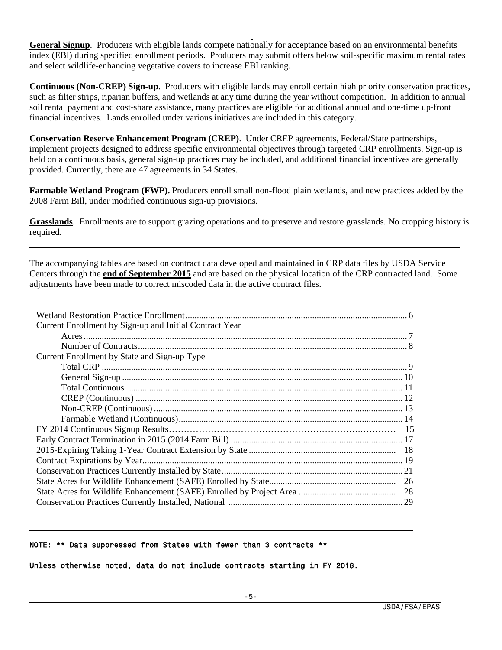**General Signup**. Producers with eligible lands compete nationally for acceptance based on an environmental benefits index (EBI) during specified enrollment periods. Producers may submit offers below soil-specific maximum rental rates and select wildlife-enhancing vegetative covers to increase EBI ranking.

**Continuous (Non-CREP) Sign-up**. Producers with eligible lands may enroll certain high priority conservation practices, such as filter strips, riparian buffers, and wetlands at any time during the year without competition. In addition to annual soil rental payment and cost-share assistance, many practices are eligible for additional annual and one-time up-front financial incentives. Lands enrolled under various initiatives are included in this category.

**Conservation Reserve Enhancement Program (CREP)**. Under CREP agreements, Federal/State partnerships, implement projects designed to address specific environmental objectives through targeted CRP enrollments. Sign-up is held on a continuous basis, general sign-up practices may be included, and additional financial incentives are generally provided. Currently, there are 47 agreements in 34 States.

**Farmable Wetland Program (FWP).** Producers enroll small non-flood plain wetlands, and new practices added by the 2008 Farm Bill, under modified continuous sign-up provisions.

**Grasslands**. Enrollments are to support grazing operations and to preserve and restore grasslands. No cropping history is required.

The accompanying tables are based on contract data developed and maintained in CRP data files by USDA Service Centers through the **end of September 2015** and are based on the physical location of the CRP contracted land. Some adjustments have been made to correct miscoded data in the active contract files.

| Current Enrollment by Sign-up and Initial Contract Year |
|---------------------------------------------------------|
|                                                         |
|                                                         |
| Current Enrollment by State and Sign-up Type            |
|                                                         |
|                                                         |
|                                                         |
|                                                         |
|                                                         |
|                                                         |
|                                                         |
|                                                         |
|                                                         |
|                                                         |
|                                                         |
|                                                         |
|                                                         |
|                                                         |

#### NOTE: \*\* Data suppressed from States with fewer than 3 contracts \*\*

Unless otherwise noted, data do not include contracts starting in FY 2016.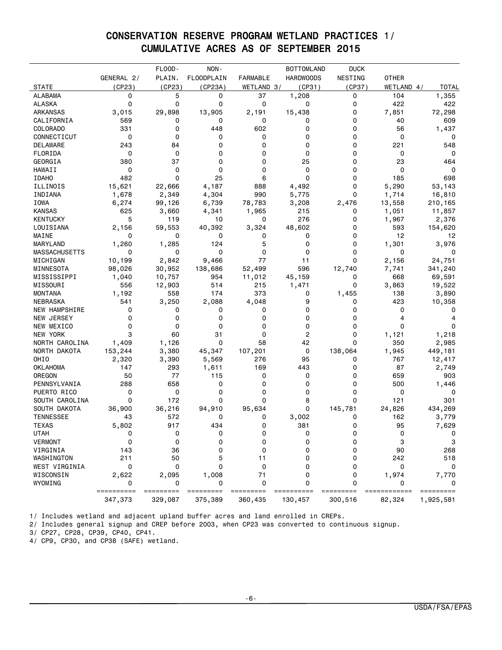# CONSERVATION RESERVE PROGRAM WETLAND PRACTICES 1/ CUMULATIVE ACRES AS OF SEPTEMBER 2015

|                      |                 | FLOOD-    | NON-              |                 | <b>BOTTOMLAND</b> | <b>DUCK</b> |              |              |
|----------------------|-----------------|-----------|-------------------|-----------------|-------------------|-------------|--------------|--------------|
|                      | GENERAL 2/      | PLAIN.    | <b>FLOODPLAIN</b> | <b>FARMABLE</b> | <b>HARDWOODS</b>  | NESTING     | <b>OTHER</b> |              |
| <b>STATE</b>         | (CP23)          | (CP23)    | (CP23A)           | WETLAND 3/      | (CP31)            | (CP37)      | WETLAND 4/   | <b>TOTAL</b> |
| <b>ALABAMA</b>       | 0               | 5         | 0                 | 37              | 1,208             | 0           | 104          | 1,355        |
| <b>ALASKA</b>        | 0               | 0         | 0                 | 0               | 0                 | 0           | 422          | 422          |
| ARKANSAS             | 3,015           | 29,898    | 13,905            | 2,191           | 15,438            | 0           | 7,851        | 72,298       |
| CALIFORNIA           | 569             | 0         | 0                 | 0               | 0                 | 0           | 40           | 609          |
| COLORADO             | 331             | 0         | 448               | 602             | 0                 | 0           | 56           | 1,437        |
| CONNECTICUT          | 0               | 0         | 0                 | 0               | 0                 | 0           | 0            | 0            |
| DELAWARE             | 243             | 84        | 0                 | 0               | 0                 | 0           | 221          | 548          |
| FLORIDA              | 0               | 0         | 0                 | 0               | 0                 | 0           | 0            | 0            |
| GEORGIA              | 380             | 37        | 0                 | 0               | 25                | 0           | 23           | 464          |
| HAWAII               | 0               | 0         | 0                 | 0               | 0                 | 0           | 0            | 0            |
| <b>IDAHO</b>         | 482             | 0         | 25                | 6               | 0                 | 0           | 185          | 698          |
| ILLINOIS             | 15,621          | 22,666    | 4,187             | 888             | 4,492             | 0           | 5,290        | 53,143       |
| INDIANA              | 1,678           | 2,349     | 4,304             | 990             | 5,775             | 0           | 1,714        | 16,810       |
| IOWA                 | 6,274           | 99,126    | 6,739             | 78,783          | 3,208             | 2,476       | 13,558       | 210,165      |
| <b>KANSAS</b>        | 625             | 3,660     | 4,341             | 1,965           | 215               | 0           | 1,051        | 11,857       |
| <b>KENTUCKY</b>      | 5               | 119       | 10                | 0               | 276               | 0           | 1,967        | 2,376        |
| LOUISIANA            | 2,156           | 59,553    | 40,392            | 3,324           | 48,602            | 0           | 593          | 154,620      |
| MAINE                | 0               | 0         | 0                 | 0               | 0                 | 0           | 12           | 12           |
| MARYLAND             | 1,260           | 1,285     | 124               | 5               | 0                 | 0           | 1,301        | 3,976        |
| <b>MASSACHUSETTS</b> | 0               | 0         | 0                 | 0               | 0                 | 0           | 0            | 0            |
| MICHIGAN             | 10,199          | 2,842     | 9,466             | 77              | 11                | $\mathbf 0$ | 2,156        | 24,751       |
| MINNESOTA            | 98,026          | 30,952    | 138,686           | 52,499          | 596               | 12,740      | 7,741        | 341,240      |
| MISSISSIPPI          | 1,040           | 10,757    | 954               | 11,012          | 45,159            | 0           | 668          | 69,591       |
| MISSOURI             | 556             | 12,903    | 514               | 215             | 1,471             | 0           | 3,863        | 19,522       |
| <b>MONTANA</b>       | 1,192           | 558       | 174               | 373             | 0                 | 1,455       | 138          | 3,890        |
| NEBRASKA             | 541             | 3,250     | 2,088             | 4,048           | 9                 | 0           | 423          | 10,358       |
| NEW HAMPSHIRE        | 0               | 0         | 0                 | 0               | 0                 | 0           | 0            | $\Omega$     |
| <b>NEW JERSEY</b>    | 0               | 0         | 0                 | 0               | 0                 | 0           | 4            | 4            |
| NEW MEXICO           | 0               | 0         | 0                 | 0               | 0                 | 0           | 0            | 0            |
| NEW YORK             | 3               | 60        | 31                | 0               | 2                 | 0           | 1,121        | 1,218        |
| NORTH CAROLINA       | 1,409           | 1,126     | 0                 | 58              | 42                | 0           | 350          | 2,985        |
| NORTH DAKOTA         | 153,244         | 3,380     | 45,347            | 107,201         | 0                 | 138,064     | 1,945        | 449,181      |
| OHIO                 | 2,320           | 3,390     | 5,569             | 276             | 95                | 0           | 767          | 12,417       |
| <b>OKLAHOMA</b>      | 147             | 293       | 1,611             | 169             | 443               | 0           | 87           | 2,749        |
| OREGON               | 50              | 77        | 115               | 0               | 0                 | 0           | 659          | 903          |
| PENNSYLVANIA         | 288             | 658       | 0                 | 0               | 0                 | 0           | 500          | 1,446        |
| PUERTO RICO          | 0               | 0         | 0                 | 0               | 0                 | 0           | 0            | 0            |
| SOUTH CAROLINA       | 0               | 172       | 0                 | 0               | 8                 | 0           | 121          | 301          |
|                      |                 |           |                   |                 | 0                 |             |              | 434,269      |
| SOUTH DAKOTA         | 36,900          | 36,216    | 94,910            | 95,634          |                   | 145,781     | 24,826       |              |
| <b>TENNESSEE</b>     | 43              | 572       | 0                 | 0<br>0          | 3,002             | 0           | 162          | 3,779        |
| <b>TEXAS</b>         | 5,802           | 917       | 434               |                 | 381               | 0           | 95           | 7,629        |
| <b>UTAH</b>          | 0               | 0         | 0                 | 0               | 0                 | 0           | 0            | 0            |
| <b>VERMONT</b>       | 0               | 0         | 0                 | 0               | 0                 | 0           | 3            | 3            |
| VIRGINIA             | 143             | 36        | 0                 | 0               | 0                 | 0           | 90           | 268          |
| WASHINGTON           | 211             | 50        | 5                 | 11              | o                 | 0           | 242          | 518          |
| WEST VIRGINIA        | 0               | 0         | 0                 | 0               | 0                 | 0           | 0            | 0            |
| WISCONSIN            | 2,622           | 2,095     | 1,008             | 71              | 0                 | 0           | 1,974        | 7,770        |
| WYOMING              | 0<br>========== | ========= | 0<br>=========    | 0<br>=======    | 0                 | 0           | =======      | =========    |
|                      | 347,373         | 329,087   | 375,389           | 360,435         | 130,457           | 300,516     | 82,324       | 1,925,581    |

1/ Includes wetland and adjacent upland buffer acres and land enrolled in CREPs.

2/ Includes general signup and CREP before 2003, when CP23 was converted to continuous signup.

3/ CP27, CP28, CP39, CP40, CP41.

4/ CP9, CP30, and CP38 (SAFE) wetland.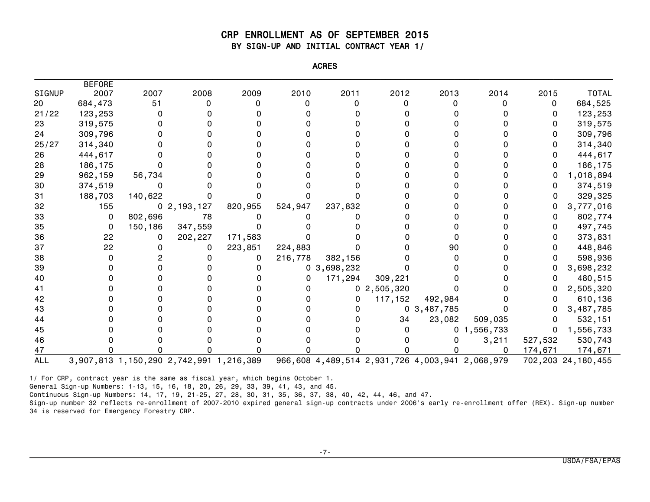#### CRP ENROLLMENT AS OF SEPTEMBER 2015 BY SIGN-UP AND INITIAL CONTRACT YEAR 1/

| <b>ACRE<sup>c</sup></b> |
|-------------------------|
|                         |
|                         |

|            | <b>BEFORE</b> |         |                                         |         |         |                                                 |                |                |                |         |                    |
|------------|---------------|---------|-----------------------------------------|---------|---------|-------------------------------------------------|----------------|----------------|----------------|---------|--------------------|
| SIGNUP     | 2007          | 2007    | 2008                                    | 2009    | 2010    | 2011                                            | 2012           | 2013           | 2014           | 2015    | <b>TOTAL</b>       |
| 20         | 684,473       | 51      | $\Omega$                                | U       | 0       | O                                               |                |                | U              | 0       | 684,525            |
| 21/22      | 123,253       |         |                                         |         |         |                                                 |                |                |                | 0       | 123,253            |
| 23         | 319,575       |         |                                         |         |         |                                                 |                |                |                |         | 319,575            |
| 24         | 309,796       |         |                                         |         |         |                                                 |                |                |                |         | 309,796            |
| 25/27      | 314,340       |         |                                         |         |         |                                                 |                |                |                |         | 314,340            |
| 26         | 444,617       |         |                                         |         |         |                                                 |                |                |                |         | 444,617            |
| 28         | 186,175       |         |                                         |         |         |                                                 |                |                |                |         | 186,175            |
| 29         | 962,159       | 56,734  |                                         |         |         |                                                 |                |                |                |         | 1,018,894          |
| 30         | 374,519       | 0       |                                         |         |         |                                                 |                |                |                |         | 374,519            |
| 31         | 188,703       | 140,622 |                                         |         |         |                                                 |                |                |                | O       | 329,325            |
| 32         | 155           |         | 0, 2, 193, 127                          | 820,955 | 524,947 | 237,832                                         |                |                |                |         | 3,777,016          |
| 33         | 0             | 802,696 | 78                                      |         |         |                                                 |                |                |                |         | 802,774            |
| 35         | 0             | 150,186 | 347,559                                 |         |         |                                                 |                |                |                |         | 497,745            |
| 36         | 22            | 0       | 202,227                                 | 171,583 |         |                                                 |                |                |                |         | 373,831            |
| 37         | 22            |         |                                         | 223,851 | 224,883 |                                                 |                | 90             |                |         | 448,846            |
| 38         |               |         |                                         | 0       | 216,778 | 382,156                                         |                |                |                |         | 598,936            |
| 39         |               |         |                                         |         |         | 0, 3, 698, 232                                  |                |                |                |         | 3,698,232          |
| 40         |               |         |                                         |         | 0       | 171,294                                         | 309,221        |                |                |         | 480,515            |
|            |               |         |                                         |         |         |                                                 | 0, 2, 505, 320 |                |                |         | 2,505,320          |
| 42         |               |         |                                         |         |         | 0                                               | 117,152        | 492,984        |                |         | 610,136            |
| 43         |               |         |                                         |         |         |                                                 |                | 0, 3, 487, 785 |                |         | 3,487,785          |
| 44         |               |         |                                         |         |         |                                                 | 34             | 23,082         | 509,035        | 0       | 532,151            |
| 45         |               |         |                                         |         |         |                                                 |                |                | 0, 1, 556, 733 |         | 0, 1, 556, 733     |
| 46         |               |         |                                         |         |         |                                                 |                |                | 3,211          | 527,532 | 530,743            |
| 47         |               |         |                                         |         |         |                                                 |                |                | 0              | 174,671 | 174,671            |
| <b>ALL</b> |               |         | 3,907,813 1,150,290 2,742,991 1,216,389 |         |         | 966,608 4,489,514 2,931,726 4,003,941 2,068,979 |                |                |                |         | 702,203 24,180,455 |

1/ For CRP, contract year is the same as fiscal year, which begins October 1.

General Sign-up Numbers: 1-13, 15, 16, 18, 20, 26, 29, 33, 39, 41, 43, and 45.

Continuous Sign-up Numbers: 14, 17, 19, 21-25, 27, 28, 30, 31, 35, 36, 37, 38, 40, 42, 44, 46, and 47.

Sign-up number 32 reflects re-enrollment of 2007-2010 expired general sign-up contracts under 2006's early re-enrollment offer (REX). Sign-up number 34 is reserved for Emergency Forestry CRP.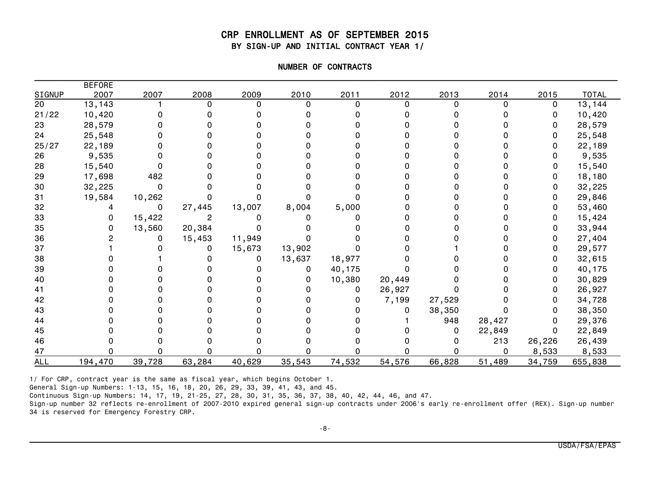#### CRP ENROLLMENT AS OF SEPTEMBER 2015 BY SIGN-UP AND INITIAL CONTRACT YEAR 1/

| NUMBER OF CONTRACTS |
|---------------------|
|                     |
|                     |

|               | <b>BEFORE</b> |        |        |        |        |          |        |        |        |          |              |
|---------------|---------------|--------|--------|--------|--------|----------|--------|--------|--------|----------|--------------|
| <b>SIGNUP</b> | 2007          | 2007   | 2008   | 2009   | 2010   | 2011     | 2012   | 2013   | 2014   | 2015     | <b>TOTAL</b> |
| 20            | 13,143        |        |        | U      | n      | $\Omega$ |        |        |        | $\Omega$ | 13,144       |
| 21/22         | 10,420        |        |        |        |        |          |        |        |        | 0        | 10,420       |
| 23            | 28,579        |        |        |        |        |          |        |        |        | 0        | 28,579       |
| 24            | 25,548        |        |        |        |        |          |        |        |        |          | 25,548       |
| 25/27         | 22,189        |        |        |        |        |          |        |        |        |          | 22,189       |
| 26            | 9,535         |        |        |        |        |          |        |        |        |          | 9,535        |
| 28            | 15,540        |        |        |        |        |          |        |        |        |          | 15,540       |
| 29            | 17,698        | 482    |        |        |        |          |        |        |        |          | 18,180       |
| 30            | 32,225        | 0      |        |        |        |          |        |        |        | 0        | 32,225       |
| 31            | 19,584        | 10,262 |        |        |        |          |        |        |        |          | 29,846       |
| 32            |               | 0      | 27,445 | 13,007 | 8,004  | 5,000    |        |        |        |          | 53,460       |
| 33            |               | 15,422 |        |        |        |          |        |        |        | 0        | 15,424       |
| 35            |               | 13,560 | 20,384 |        |        |          |        |        |        | 0        | 33,944       |
| 36            |               |        | 15,453 | 11,949 |        |          |        |        |        |          | 27,404       |
| 37            |               |        |        | 15,673 | 13,902 |          |        |        |        | 0        | 29,577       |
| 38            |               |        |        | 0      | 13,637 | 18,977   |        |        |        | 0        | 32,615       |
| 39            |               |        |        |        | 0      | 40,175   |        |        |        |          | 40,175       |
| 40            |               |        |        |        | 0      | 10,380   | 20,449 |        |        | 0        | 30,829       |
| 41            |               |        |        |        |        | 0        | 26,927 |        |        | 0        | 26,927       |
| 42            |               |        |        |        |        | 0        | 7,199  | 27,529 |        |          | 34,728       |
| 43            |               |        |        |        |        |          |        | 38,350 |        | 0        | 38,350       |
| 44            |               |        |        |        |        |          |        | 948    | 28,427 | 0        | 29,376       |
| 45            |               |        |        |        |        |          |        |        | 22,849 | 0        | 22,849       |
| 46            |               |        |        |        |        |          |        |        | 213    | 26,226   | 26,439       |
| 47            |               |        |        |        |        |          |        |        | 0      | 8,533    | 8,533        |
| <b>ALL</b>    | 194,470       | 39,728 | 63,284 | 40,629 | 35,543 | 74,532   | 54,576 | 66,828 | 51,489 | 34,759   | 655,838      |

1/ For CRP, contract year is the same as fiscal year, which begins October 1.

General Sign-up Numbers: 1-13, 15, 16, 18, 20, 26, 29, 33, 39, 41, 43, and 45.

Continuous Sign-up Numbers: 14, 17, 19, 21-25, 27, 28, 30, 31, 35, 36, 37, 38, 40, 42, 44, 46, and 47.

Sign-up number 32 reflects re-enrollment of 2007-2010 expired general sign-up contracts under 2006's early re-enrollment offer (REX). Sign-up number 34 is reserved for Emergency Forestry CRP.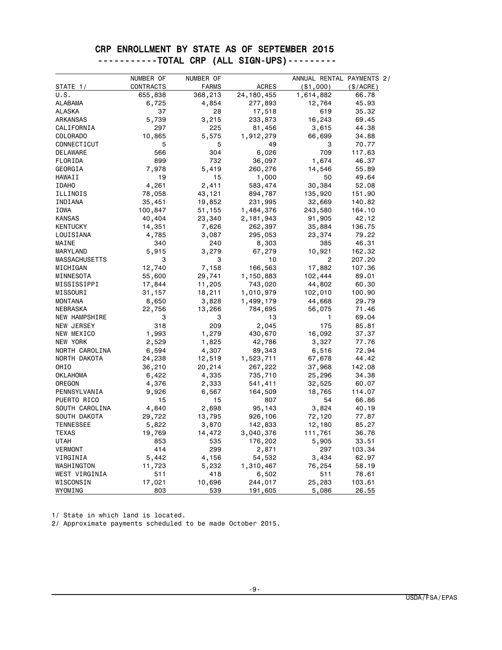#### CRP ENROLLMENT BY STATE AS OF SEPTEMBER 2015 -----------TOTAL CRP (ALL SIGN-UPS)---------

|                      | NUMBER OF | NUMBER OF    |              | ANNUAL RENTAL PAYMENTS 2/ |           |
|----------------------|-----------|--------------|--------------|---------------------------|-----------|
| STATE 1/             | CONTRACTS | <b>FARMS</b> | <b>ACRES</b> | ( \$1,000)                | (\$/ACRE) |
| U.S.                 | 655,838   | 368,213      | 24, 180, 455 | 1,614,882                 | 66.78     |
| <b>ALABAMA</b>       | 6,725     | 4,854        | 277,893      | 12,764                    | 45.93     |
| <b>ALASKA</b>        | 37        | 28           | 17,518       | 619                       | 35.32     |
| ARKANSAS             | 5,739     | 3,215        | 233,873      | 16,243                    | 69.45     |
| CALIFORNIA           | 297       | 225          | 81,456       | 3,615                     | 44.38     |
| <b>COLORADO</b>      | 10,865    | 5,575        | 1,912,279    | 66,699                    | 34.88     |
| CONNECTICUT          | 5         | 5            | 49           | 3                         | 70.77     |
| DELAWARE             | 566       | 304          | 6,026        | 709                       | 117.63    |
| FLORIDA              | 899       | 732          | 36,097       | 1,674                     | 46.37     |
| GEORGIA              | 7,978     | 5,419        | 260,276      | 14,546                    | 55.89     |
| HAWAII               | 19        | 15           | 1,000        | 50                        | 49.64     |
| <b>IDAHO</b>         | 4,261     | 2,411        | 583,474      | 30,384                    | 52.08     |
| ILLINOIS             | 78,058    | 43,121       | 894,787      | 135,920                   | 151.90    |
| INDIANA              | 35,451    | 19,852       | 231,995      | 32,669                    | 140.82    |
| IOWA                 | 100,847   | 51,155       | 1,484,376    | 243,580                   | 164.10    |
| <b>KANSAS</b>        | 40,404    | 23,340       | 2,181,943    | 91,905                    | 42.12     |
| <b>KENTUCKY</b>      | 14,351    | 7,626        | 262,397      | 35,884                    | 136.75    |
| LOUISIANA            | 4,785     | 3,087        | 295,053      | 23,374                    | 79.22     |
| MAINE                | 340       | 240          | 8,303        | 385                       | 46.31     |
| MARYLAND             | 5,915     | 3,279        | 67,279       | 10,921                    | 162.32    |
| <b>MASSACHUSETTS</b> | 3         | 3            | 10           | $\overline{2}$            | 207.20    |
| MICHIGAN             | 12,740    | 7,158        | 166,563      | 17,882                    | 107.36    |
| MINNESOTA            | 55,600    | 29,741       | 1,150,883    | 102,444                   | 89.01     |
| MISSISSIPPI          | 17,844    | 11,205       | 743,020      | 44,802                    | 60.30     |
| MISSOURI             | 31,157    | 18,211       | 1,010,979    | 102,010                   | 100.90    |
| <b>MONTANA</b>       | 8,650     | 3,828        | 1,499,179    | 44,668                    | 29.79     |
| NEBRASKA             | 22,756    | 13,266       | 784,695      | 56,075                    | 71.46     |
| NEW HAMPSHIRE        | 3         | 3            | 13           | 1.                        | 69.04     |
| NEW JERSEY           | 318       | 209          | 2,045        | 175                       | 85.81     |
| NEW MEXICO           | 1,993     | 1,279        | 430,670      | 16,092                    | 37.37     |
| NEW YORK             | 2,529     | 1,825        | 42,786       | 3,327                     | 77.76     |
| NORTH CAROLINA       | 6,594     | 4,307        | 89,343       | 6,516                     | 72.94     |
| NORTH DAKOTA         | 24,238    | 12,519       | 1,523,711    | 67,678                    | 44.42     |
| OHIO                 | 36,210    | 20,214       | 267,222      | 37,968                    | 142.08    |
| <b>OKLAHOMA</b>      | 6,422     | 4,335        | 735,710      | 25,296                    | 34.38     |
| OREGON               | 4,376     | 2,333        | 541,411      | 32,525                    | 60.07     |
| PENNSYLVANIA         | 9,926     | 6,567        | 164,509      | 18,765                    | 114.07    |
| PUERTO RICO          | 15        | 15           | 807          | 54                        | 66.86     |
| SOUTH CAROLINA       | 4,840     | 2,698        | 95,143       | 3,824                     | 40.19     |
| SOUTH DAKOTA         | 29,722    | 13,795       | 926,106      | 72,120                    | 77.87     |
| <b>TENNESSEE</b>     | 5,822     | 3,870        | 142,833      | 12,180                    | 85.27     |
| TEXAS                | 19,769    | 14,472       | 3,040,376    | 111,761                   | 36.76     |
| UTAH                 | 853       | 535          | 176,202      | 5,905                     | 33.51     |
| VERMONT              | 414       | 299          | 2,871        | 297                       | 103.34    |
| VIRGINIA             | 5,442     | 4,156        | 54,532       | 3,434                     | 62.97     |
| WASHINGTON           | 11,723    | 5,232        | 1,310,467    | 76,254                    | 58.19     |
| WEST VIRGINIA        | 511       | 418          | 6,502        | 511                       | 78.61     |
| WISCONSIN            | 17,021    | 10,696       | 244,017      | 25,283                    | 103.61    |
| WYOMING              | 803       | 539          | 191,605      | 5,086                     | 26.55     |

1/ State in which land is located.

2/ Approximate payments scheduled to be made October 2015.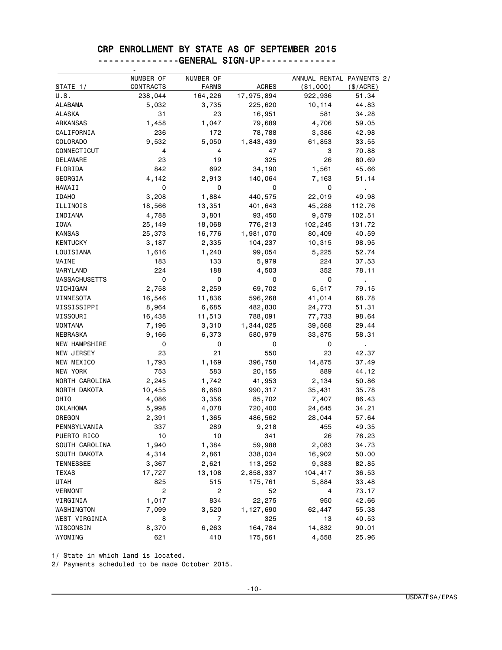# CRP ENROLLMENT BY STATE AS OF SEPTEMBER 2015

|                      | NUMBER OF      | NUMBER OF    | <b>ACRES</b> | ANNUAL RENTAL PAYMENTS 2/ |                |
|----------------------|----------------|--------------|--------------|---------------------------|----------------|
| STATE 1/             | CONTRACTS      | <b>FARMS</b> |              | (\$1,000)<br>922,936      | $(\$/ACRE)$    |
| U.S.                 | 238,044        | 164,226      | 17,975,894   |                           | 51.34          |
| ALABAMA              | 5,032          | 3,735        | 225,620      | 10,114                    | 44.83          |
| ALASKA               | 31             | 23           | 16,951       | 581                       | 34.28          |
| <b>ARKANSAS</b>      | 1,458          | 1,047        | 79,689       | 4,706                     | 59.05          |
| CALIFORNIA           | 236            | 172          | 78,788       | 3,386                     | 42.98          |
| COLORADO             | 9,532          | 5,050        | 1,843,439    | 61,853                    | 33.55          |
| CONNECTICUT          | 4              | 4            | 47           | 3                         | 70.88          |
| DELAWARE             | 23             | 19           | 325          | 26                        | 80.69          |
| FLORIDA              | 842            | 692          | 34,190       | 1,561                     | 45.66          |
| GEORGIA              | 4,142          | 2,913        | 140,064      | 7,163                     | 51.14          |
| HAWAII               | 0              | 0            | 0            | 0                         | $\blacksquare$ |
| <b>IDAHO</b>         | 3,208          | 1,884        | 440,575      | 22,019                    | 49.98          |
| ILLINOIS             | 18,566         | 13,351       | 401,643      | 45,288                    | 112.76         |
| INDIANA              | 4,788          | 3,801        | 93,450       | 9,579                     | 102.51         |
| IOWA                 | 25,149         | 18,068       | 776,213      | 102,245                   | 131.72         |
| <b>KANSAS</b>        | 25,373         | 16,776       | 1,981,070    | 80,409                    | 40.59          |
| <b>KENTUCKY</b>      | 3,187          | 2,335        | 104,237      | 10,315                    | 98.95          |
| LOUISIANA            | 1,616          | 1,240        | 99,054       | 5,225                     | 52.74          |
| MAINE                | 183            | 133          | 5,979        | 224                       | 37.53          |
| MARYLAND             | 224            | 188          | 4,503        | 352                       | 78.11          |
| <b>MASSACHUSETTS</b> | 0              | 0            | 0            | 0                         | $\blacksquare$ |
| MICHIGAN             | 2,758          | 2,259        | 69,702       | 5,517                     | 79.15          |
| MINNESOTA            | 16,546         | 11,836       | 596,268      | 41,014                    | 68.78          |
| MISSISSIPPI          | 8,964          | 6,685        | 482,830      | 24,773                    | 51.31          |
| MISSOURI             | 16,438         | 11,513       | 788,091      | 77,733                    | 98.64          |
| <b>MONTANA</b>       | 7,196          | 3,310        | 1,344,025    | 39,568                    | 29.44          |
| <b>NEBRASKA</b>      | 9,166          | 6,373        | 580,979      | 33,875                    | 58.31          |
| <b>NEW HAMPSHIRE</b> | 0              | 0            | 0            | 0                         |                |
| <b>NEW JERSEY</b>    | 23             | 21           | 550          | 23                        | 42.37          |
|                      |                |              |              |                           |                |
| NEW MEXICO           | 1,793          | 1,169        | 396,758      | 14,875                    | 37.49          |
| NEW YORK             | 753            | 583          | 20,155       | 889                       | 44.12          |
| NORTH CAROLINA       | 2,245          | 1,742        | 41,953       | 2,134                     | 50.86          |
| NORTH DAKOTA         | 10,455         | 6,680        | 990,317      | 35,431                    | 35.78          |
| OHIO                 | 4,086          | 3,356        | 85,702       | 7,407                     | 86.43          |
| <b>OKLAHOMA</b>      | 5,998          | 4,078        | 720,400      | 24,645                    | 34.21          |
| OREGON               | 2,391          | 1,365        | 486,562      | 28,044                    | 57.64          |
| PENNSYLVANIA         | 337            | 289          | 9,218        | 455                       | 49.35          |
| PUERTO RICO          | 10             | 10           | 341          | 26                        | 76.23          |
| SOUTH CAROLINA       | 1,940          | 1,384        | 59,988       | 2,083                     | 34.73          |
| SOUTH DAKOTA         | 4,314          | 2,861        | 338,034      | 16,902                    | 50.00          |
| <b>TENNESSEE</b>     | 3,367          | 2,621        | 113,252      | 9,383                     | 82.85          |
| TEXAS                | 17,727         | 13,108       | 2,858,337    | 104,417                   | 36.53          |
| <b>UTAH</b>          | 825            | 515          | 175,761      | 5,884                     | 33.48          |
| <b>VERMONT</b>       | $\overline{c}$ | 2            | 52           | 4                         | 73.17          |
| VIRGINIA             | 1,017          | 834          | 22,275       | 950                       | 42.66          |
| WASHINGTON           | 7,099          | 3,520        | 1,127,690    | 62,447                    | 55.38          |
| WEST VIRGINIA        | 8              | 7            | 325          | 13                        | 40.53          |
| WISCONSIN            | 8,370          | 6,263        | 164,784      | 14,832                    | 90.01          |
| WYOMING              | 621            | 410          | 175,561      | 4,558                     | 25.96          |

---------------GENERAL SIGN-UP--------------

1/ State in which land is located.

2/ Payments scheduled to be made October 2015.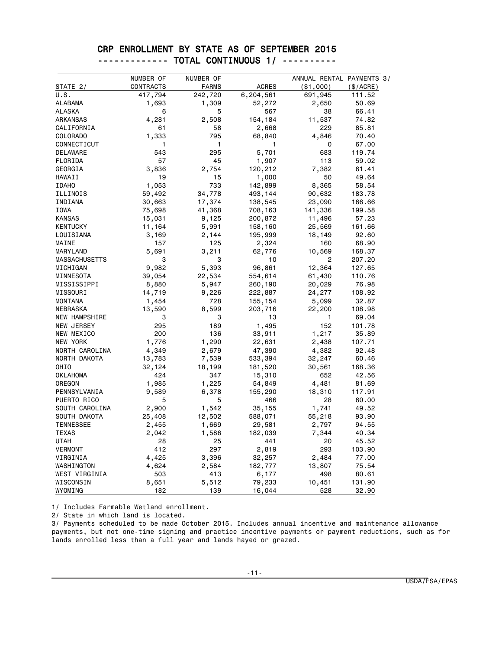#### CRP ENROLLMENT BY STATE AS OF SEPTEMBER 2015 ------------- TOTAL CONTINUOUS 1/ ----------

|                      | NUMBER OF | NUMBER OF    |              | ANNUAL RENTAL PAYMENTS 3/ |             |
|----------------------|-----------|--------------|--------------|---------------------------|-------------|
| STATE 2/             | CONTRACTS | <b>FARMS</b> | <b>ACRES</b> | ( \$1,000)                | $(\$/ACRE)$ |
| U.S.                 | 417,794   | 242,720      | 6,204,561    | 691,945                   | 111.52      |
| <b>ALABAMA</b>       | 1,693     | 1,309        | 52,272       | 2,650                     | 50.69       |
| <b>ALASKA</b>        | 6         | 5            | 567          | 38                        | 66.41       |
| ARKANSAS             | 4,281     | 2,508        | 154,184      | 11,537                    | 74.82       |
| CALIFORNIA           | 61        | 58           | 2,668        | 229                       | 85.81       |
| <b>COLORADO</b>      | 1,333     | 795          | 68,840       | 4,846                     | 70.40       |
| CONNECTICUT          | 1         | 1            | 1            | 0                         | 67.00       |
| DELAWARE             | 543       | 295          | 5,701        | 683                       | 119.74      |
| FLORIDA              | 57        | 45           | 1,907        | 113                       | 59.02       |
| GEORGIA              | 3,836     | 2,754        | 120,212      | 7,382                     | 61.41       |
| HAWAII               | 19        | 15           | 1,000        | 50                        | 49.64       |
| <b>IDAHO</b>         | 1,053     | 733          | 142,899      | 8,365                     | 58.54       |
| ILLINOIS             | 59,492    | 34,778       | 493,144      | 90,632                    | 183.78      |
| INDIANA              | 30,663    | 17,374       | 138,545      | 23,090                    | 166.66      |
| <b>IOWA</b>          | 75,698    | 41,368       | 708,163      | 141,336                   | 199.58      |
| <b>KANSAS</b>        | 15,031    | 9,125        | 200,872      | 11,496                    | 57.23       |
| <b>KENTUCKY</b>      | 11,164    | 5,991        | 158,160      | 25,569                    | 161.66      |
| LOUISIANA            | 3,169     | 2,144        | 195,999      | 18,149                    | 92.60       |
| MAINE                | 157       | 125          | 2,324        | 160                       | 68.90       |
| MARYLAND             | 5,691     | 3,211        | 62,776       | 10,569                    | 168.37      |
| <b>MASSACHUSETTS</b> | 3         | 3            | 10           | 2                         | 207.20      |
| MICHIGAN             | 9,982     | 5,393        | 96,861       | 12,364                    | 127.65      |
| MINNESOTA            | 39,054    | 22,534       | 554,614      | 61,430                    | 110.76      |
| MISSISSIPPI          | 8,880     | 5,947        | 260,190      | 20,029                    | 76.98       |
| MISSOURI             | 14,719    | 9,226        | 222,887      | 24,277                    | 108.92      |
| <b>MONTANA</b>       | 1,454     | 728          | 155,154      | 5,099                     | 32.87       |
| NEBRASKA             | 13,590    | 8,599        | 203,716      | 22,200                    | 108.98      |
| NEW HAMPSHIRE        | 3         | 3            | 13           | 1                         | 69.04       |
| NEW JERSEY           | 295       | 189          | 1,495        | 152                       | 101.78      |
| NEW MEXICO           | 200       | 136          | 33,911       | 1,217                     | 35.89       |
| NEW YORK             | 1,776     | 1,290        | 22,631       | 2,438                     | 107.71      |
| NORTH CAROLINA       | 4,349     | 2,679        | 47,390       | 4,382                     | 92.48       |
| NORTH DAKOTA         | 13,783    | 7,539        | 533,394      | 32,247                    | 60.46       |
| OHI <sub>0</sub>     | 32,124    | 18,199       | 181,520      | 30,561                    | 168.36      |
| <b>OKLAHOMA</b>      | 424       | 347          | 15,310       | 652                       | 42.56       |
| OREGON               | 1,985     | 1,225        | 54,849       | 4,481                     | 81.69       |
| PENNSYLVANIA         | 9,589     | 6,378        | 155,290      | 18,310                    | 117.91      |
| PUERTO RICO          | 5         | 5            | 466          | 28                        | 60.00       |
| SOUTH CAROLINA       | 2,900     | 1,542        | 35,155       | 1,741                     | 49.52       |
| SOUTH DAKOTA         | 25,408    | 12,502       | 588,071      | 55,218                    | 93.90       |
| <b>TENNESSEE</b>     | 2,455     | 1,669        | 29,581       | 2,797                     | 94.55       |
| <b>TEXAS</b>         | 2,042     | 1,586        | 182,039      | 7,344                     | 40.34       |
| UTAH                 | 28        | 25           | 441          | 20                        | 45.52       |
| <b>VERMONT</b>       | 412       | 297          | 2,819        | 293                       | 103.90      |
| VIRGINIA             | 4,425     | 3,396        | 32,257       | 2,484                     | 77.00       |
| WASHINGTON           | 4,624     | 2,584        | 182,777      | 13,807                    | 75.54       |
| WEST VIRGINIA        | 503       | 413          | 6,177        | 498                       | 80.61       |
| WISCONSIN            | 8,651     | 5,512        | 79,233       | 10,451                    | 131.90      |
| WYOMING              | 182       | 139          | 16,044       | 528                       | 32.90       |

1/ Includes Farmable Wetland enrollment.

2/ State in which land is located.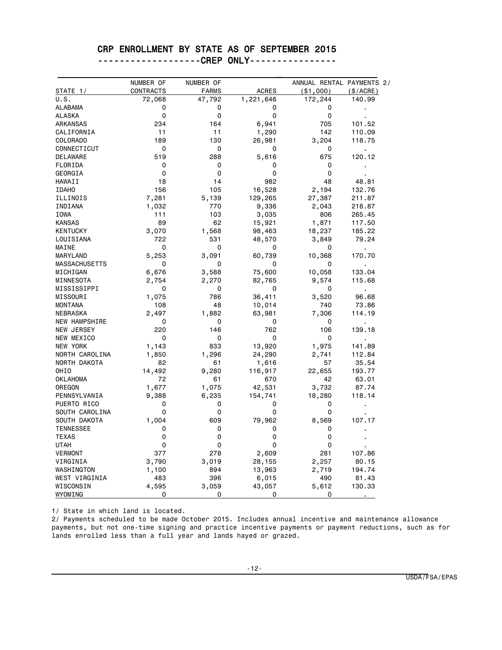#### CRP ENROLLMENT BY STATE AS OF SEPTEMBER 2015

-------------------CREP ONLY----------------

|                      | NUMBER OF  | NUMBER OF    |              | ANNUAL RENTAL PAYMENTS 2/ |                |
|----------------------|------------|--------------|--------------|---------------------------|----------------|
| <b>STATE_1/</b>      | CONTRACTS  | <b>FARMS</b> | <b>ACRES</b> | ( \$1,000)                | (\$/ACRE)      |
| U.S.                 | 72,068     | 47,792       | 1,221,646    | 172,244                   | 140.99         |
| <b>ALABAMA</b>       | 0          | 0            | 0            | 0                         | ï              |
| <b>ALASKA</b>        | 0          | 0            | 0            | 0                         |                |
| <b>ARKANSAS</b>      | 234        | 164          | 6,941        | 705                       | 101.52         |
| CALIFORNIA           | 11         | 11           | 1,290        | 142                       | 110.09         |
| COLORADO             | 189        | 130          | 26,981       | 3,204                     | 118.75         |
| CONNECTICUT          | 0          | 0            | 0            | 0                         | $\blacksquare$ |
| <b>DELAWARE</b>      | 519        | 288          | 5,616        | 675                       | 120.12         |
| FLORIDA              | 0          | 0            | 0            | 0                         |                |
| GEORGIA              | 0          | 0            | 0            | 0                         |                |
| HAWAII               | 18         | 14           | 982          | 48                        | 48.81          |
| <b>IDAHO</b>         | 156        | 105          | 16,528       | 2,194                     | 132.76         |
| ILLINOIS             | 7,281      | 5,139        | 129,265      | 27,387                    | 211.87         |
| INDIANA              | 1,032      | 770          | 9,336        | 2,043                     | 218.87         |
| IOWA                 | 111        | 103          | 3,035        | 806                       | 265.45         |
| <b>KANSAS</b>        | 89         | 62           | 15,921       | 1,871                     | 117.50         |
| <b>KENTUCKY</b>      | 3,070      | 1,568        | 98,463       | 18,237                    | 185.22         |
| LOUISIANA            | 722        | 531          | 48,570       | 3,849                     | 79.24          |
| MAINE                | 0          | 0            | 0            | 0                         |                |
| MARYLAND             | 5,253      | 3,091        | 60,739       | 10,368                    | 170.70         |
| <b>MASSACHUSETTS</b> | 0          | 0            | 0            | 0                         |                |
| MICHIGAN             | 6,676      | 3,588        | 75,600       | 10,058                    | 133.04         |
| MINNESOTA            | 2,754      | 2,270        | 82,765       | 9,574                     | 115.68         |
| MISSISSIPPI          | 0          | 0            | 0            | 0                         | $\blacksquare$ |
| MISSOURI             | 1,075      | 786          | 36,411       | 3,520                     | 96.68          |
| <b>MONTANA</b>       | 108        | 48           | 10,014       | 740                       | 73.86          |
| <b>NEBRASKA</b>      | 2,497      | 1,882        | 63,981       | 7,306                     | 114.19         |
| NEW HAMPSHIRE        | 0          | 0            | 0            | 0                         |                |
| NEW JERSEY           | 220        | 146          | 762          | 106                       | 139.18         |
| NEW MEXICO           | 0          | 0            | 0            | 0                         |                |
| NEW YORK             | 1,143      | 833          | 13,920       | 1,975                     | 141.89         |
| NORTH CAROLINA       | 1,850      | 1,296        | 24,290       | 2,741                     | 112.84         |
| NORTH DAKOTA         | 82         | 61           | 1,616        | 57                        | 35.54          |
| OHIO                 | 14,492     | 9,280        | 116,917      | 22,655                    | 193.77         |
| OKLAHOMA             | 72         | 61           | 670          | 42                        | 63.01          |
| OREGON               | 1,677      | 1,075        | 42,531       | 3,732                     | 87.74          |
| PENNSYLVANIA         | 9,388      | 6,235        | 154,741      | 18,280                    | 118.14         |
| PUERTO RICO          | 0          | 0            | 0            | 0                         | $\blacksquare$ |
| SOUTH CAROLINA       | 0          | 0            | 0            | 0                         |                |
| SOUTH DAKOTA         | 1,004      | 609          | 79,962       | 8,569                     | 107.17         |
| <b>TENNESSEE</b>     | 0          | 0            | 0            | 0                         |                |
| <b>TEXAS</b>         | 0          | 0            | 0            | 0                         |                |
| <b>UTAH</b>          | 0          | 0            | 0            | 0                         |                |
| <b>VERMONT</b>       | 377        | 278          | 2,609        | 281                       | 107.86         |
|                      |            |              |              |                           |                |
| VIRGINIA             | 3,790      | 3,019        | 28,155       | 2,257                     | 80.15          |
| WASHINGTON           | 1,100      | 894          | 13,963       | 2,719                     | 194.74         |
| WEST VIRGINIA        | 483        | 396          | 6,015        | 490                       | 81.43          |
| WISCONSIN<br>WYOMING | 4,595<br>0 | 3,059<br>0   | 43,057<br>0  | 5,612<br>0                | 130.33         |

1/ State in which land is located.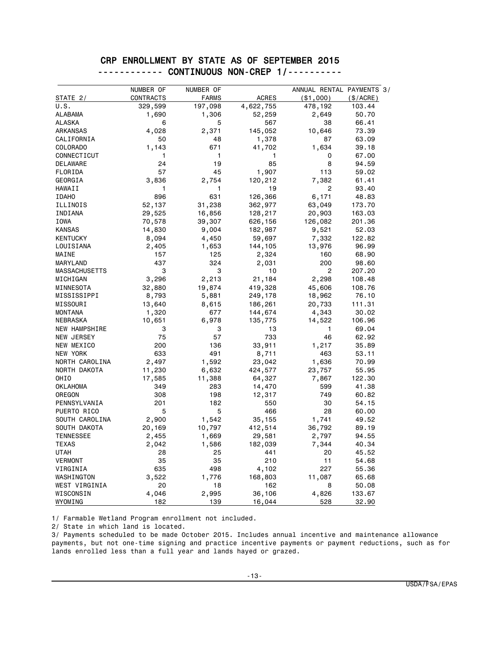#### CRP ENROLLMENT BY STATE AS OF SEPTEMBER 2015 ------------ CONTINUOUS NON-CREP 1/----------

|                      | NUMBER OF | NUMBER OF    |              | ANNUAL RENTAL PAYMENTS 3/ |             |
|----------------------|-----------|--------------|--------------|---------------------------|-------------|
| STATE 2/             | CONTRACTS | <b>FARMS</b> | <b>ACRES</b> | ( \$1,000)                | $(\$/ACRE)$ |
| U.S.                 | 329,599   | 197,098      | 4,622,755    | 478,192                   | 103.44      |
| <b>ALABAMA</b>       | 1,690     | 1,306        | 52,259       | 2,649                     | 50.70       |
| <b>ALASKA</b>        | 6         | 5            | 567          | 38                        | 66.41       |
| <b>ARKANSAS</b>      | 4,028     | 2,371        | 145,052      | 10,646                    | 73.39       |
| CALIFORNIA           | 50        | 48           | 1,378        | 87                        | 63.09       |
| COLORADO             | 1,143     | 671          | 41,702       | 1,634                     | 39.18       |
| CONNECTICUT          | 1         | 1            | 1            | 0                         | 67.00       |
| DELAWARE             | 24        | 19           | 85           | 8                         | 94.59       |
| FLORIDA              | 57        | 45           | 1,907        | 113                       | 59.02       |
| GEORGIA              | 3,836     | 2,754        | 120,212      | 7,382                     | 61.41       |
| HAWAII               | 1         | 1            | 19           | 2                         | 93.40       |
| <b>IDAHO</b>         | 896       | 631          | 126,366      | 6,171                     | 48.83       |
| ILLINOIS             | 52,137    | 31,238       | 362,977      | 63,049                    | 173.70      |
| INDIANA              | 29,525    | 16,856       | 128,217      | 20,903                    | 163.03      |
| <b>IOWA</b>          | 70,578    | 39,307       | 626,156      | 126,082                   | 201.36      |
| <b>KANSAS</b>        | 14,830    | 9,004        | 182,987      | 9,521                     | 52.03       |
| <b>KENTUCKY</b>      | 8,094     | 4,450        | 59,697       | 7,332                     | 122.82      |
| LOUISIANA            | 2,405     | 1,653        | 144,105      | 13,976                    | 96.99       |
| MAINE                | 157       | 125          | 2,324        | 160                       | 68.90       |
| MARYLAND             | 437       | 324          | 2,031        | 200                       | 98.60       |
| <b>MASSACHUSETTS</b> | 3         | 3            | 10           | 2                         | 207.20      |
| MICHIGAN             | 3,296     | 2,213        | 21,184       | 2,298                     | 108.48      |
| MINNESOTA            | 32,880    | 19,874       | 419,328      | 45,606                    | 108.76      |
| MISSISSIPPI          | 8,793     | 5,881        | 249,178      | 18,962                    | 76.10       |
| MISSOURI             | 13,640    | 8,615        | 186,261      | 20,733                    | 111.31      |
| <b>MONTANA</b>       | 1,320     | 677          | 144,674      | 4,343                     | 30.02       |
| <b>NEBRASKA</b>      | 10,651    | 6,978        | 135,775      | 14,522                    | 106.96      |
| NEW HAMPSHIRE        | 3         | 3            | 13           | 1                         | 69.04       |
| NEW JERSEY           | 75        | 57           | 733          | 46                        | 62.92       |
| NEW MEXICO           | 200       | 136          | 33,911       | 1,217                     | 35.89       |
| NEW YORK             | 633       | 491          | 8,711        | 463                       | 53.11       |
| NORTH CAROLINA       | 2,497     | 1,592        | 23,042       | 1,636                     | 70.99       |
| NORTH DAKOTA         | 11,230    | 6,632        | 424,577      | 23,757                    | 55.95       |
| OHIO                 | 17,585    | 11,388       | 64,327       | 7,867                     | 122.30      |
| OKLAHOMA             | 349       | 283          | 14,470       | 599                       | 41.38       |
| OREGON               | 308       | 198          | 12,317       | 749                       | 60.82       |
| PENNSYLVANIA         | 201       | 182          | 550          | 30                        | 54.15       |
| PUERTO RICO          | 5         | 5            | 466          | 28                        | 60.00       |
| SOUTH CAROLINA       | 2,900     | 1,542        | 35,155       | 1,741                     | 49.52       |
| SOUTH DAKOTA         | 20,169    | 10,797       | 412,514      | 36,792                    | 89.19       |
| <b>TENNESSEE</b>     | 2,455     | 1,669        | 29,581       | 2,797                     | 94.55       |
| <b>TEXAS</b>         | 2,042     | 1,586        | 182,039      | 7,344                     | 40.34       |
| UTAH                 | 28        | 25           | 441          | 20                        | 45.52       |
| VERMONT              | 35        | 35           | 210          | 11                        | 54.68       |
| VIRGINIA             | 635       | 498          | 4,102        | 227                       | 55.36       |
| WASHINGTON           | 3,522     | 1,776        | 168,803      | 11,087                    | 65.68       |
| WEST VIRGINIA        | 20        | 18           | 162          | 8                         | 50.08       |
| WISCONSIN            | 4,046     | 2,995        | 36,106       | 4,826                     | 133.67      |
| WYOMING              | 182       | 139          | 16,044       | 528                       | 32.90       |

1/ Farmable Wetland Program enrollment not included.

2/ State in which land is located.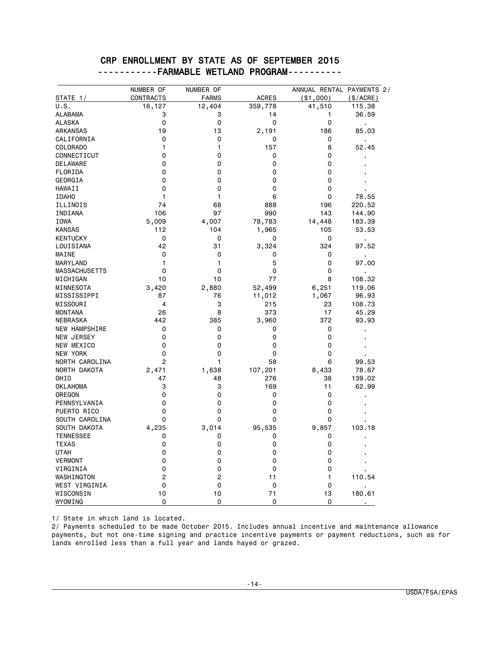#### CRP ENROLLMENT BY STATE AS OF SEPTEMBER 2015 -----------FARMABLE WETLAND PROGRAM----------

| STATE 1/                           | NUMBER OF<br>CONTRACTS | NUMBER OF<br><b>FARMS</b> | <b>ACRES</b>   | ANNUAL RENTAL PAYMENTS 2/<br>( \$1,000) | (\$/ACRE)               |
|------------------------------------|------------------------|---------------------------|----------------|-----------------------------------------|-------------------------|
| U.S.                               | 16,127                 | 12,404                    | 359,778        | 41,510                                  | 115.38                  |
| <b>ALABAMA</b>                     | 3                      | 3                         | 14             | 1                                       | 36.59                   |
| <b>ALASKA</b>                      | 0                      | 0                         | 0              | 0                                       | ł.                      |
| ARKANSAS                           | 19                     | 13                        | 2,191          | 186                                     | 85.03                   |
| CALIFORNIA                         | $\Omega$               | 0                         | 0              | 0                                       |                         |
| <b>COLORADO</b>                    | 1                      | 1                         | 157            | 8                                       | 52.45                   |
| CONNECTICUT                        | 0                      | 0                         | 0              | 0                                       |                         |
| <b>DELAWARE</b>                    | 0                      | 0                         | 0              | 0                                       |                         |
| FLORIDA                            | 0                      | 0                         | 0              | 0                                       |                         |
| GEORGIA                            | 0                      | 0                         | 0              | 0                                       |                         |
| <b>HAWAII</b>                      | $\mathbf 0$            | 0                         | 0              | 0                                       |                         |
| <b>IDAHO</b>                       | 1                      | 1                         | 6              | 0                                       | 78.55                   |
| ILLINOIS                           | 74                     | 68                        | 888            | 196                                     | 220.52                  |
| INDIANA                            | 106                    | 97                        | 990            | 143                                     | 144.90                  |
| <b>IOWA</b>                        | 5,009                  | 4,007                     | 78,783         | 14,448                                  | 183.39                  |
| <b>KANSAS</b>                      | 112                    | 104                       | 1,965          | 105                                     | 53.53                   |
| <b>KENTUCKY</b>                    | $\mathbf 0$            | 0                         | 0              | 0                                       |                         |
| LOUISIANA                          | 42                     | 31                        | 3,324          | 324                                     | ×,<br>97.52             |
| MAINE                              | $\mathbf 0$            | 0                         | 0              | 0                                       |                         |
| MARYLAND                           | 1                      | 1                         | 5              | 0                                       | $\blacksquare$<br>97.00 |
| <b>MASSACHUSETTS</b>               | $\mathbf 0$            | $\mathbf 0$               | 0              | 0                                       |                         |
| MICHIGAN                           | 10                     | 10                        | 77             | 8                                       | 108.32                  |
| MINNESOTA                          | 3,420                  | 2,880                     | 52,499         | 6,251                                   | 119.06                  |
| MISSISSIPPI                        | 87                     | 76                        |                |                                         | 96.93                   |
| MISSOURI                           | 4                      | 3                         | 11,012<br>215  | 1,067<br>23                             | 108.73                  |
| <b>MONTANA</b>                     | 26                     | 8                         | 373            | 17                                      | 45.29                   |
| <b>NEBRASKA</b>                    | 442                    | 385                       |                | 372                                     | 93.93                   |
| <b>NEW HAMPSHIRE</b>               | 0                      | 0                         | 3,960<br>0     | 0                                       |                         |
| <b>NEW JERSEY</b>                  | 0                      | 0                         | 0              | 0                                       |                         |
| NEW MEXICO                         | 0                      | 0                         | 0              | 0                                       |                         |
| <b>NEW YORK</b>                    | 0                      | $\mathbf 0$               | $\Omega$       | 0                                       |                         |
| NORTH CAROLINA                     | 2                      | 1                         | 58             | 6                                       | 99.53                   |
| NORTH DAKOTA                       |                        |                           |                |                                         | 78.67                   |
| OHIO                               | 2,471<br>47            | 1,638<br>48               | 107,201<br>276 | 8,433<br>38                             | 139.02                  |
| <b>OKLAHOMA</b>                    | 3                      | 3                         | 169            | 11                                      | 62.99                   |
| OREGON                             | 0                      | 0                         | 0              | 0                                       |                         |
| PENNSYLVANIA                       | 0                      | 0                         | 0              | 0                                       |                         |
| PUERTO RICO                        | 0                      | 0                         | 0              | 0                                       |                         |
| SOUTH CAROLINA                     | 0                      | 0                         | 0              | 0                                       |                         |
| SOUTH DAKOTA                       | 4,235                  | 3,014                     | 95,535         | 9,857                                   | 103.18                  |
| <b>TENNESSEE</b>                   | 0                      | 0                         | 0              | 0                                       |                         |
| <b>TEXAS</b>                       | 0                      | 0                         | 0              | 0                                       |                         |
| <b>UTAH</b>                        | 0                      | 0                         | 0              | 0                                       |                         |
| <b>VERMONT</b>                     | 0                      | 0                         | $\Omega$       | 0                                       |                         |
| VIRGINIA                           | 0                      | 0                         | 0              | 0                                       |                         |
|                                    | 2                      | 2                         |                | 1                                       | 110.54                  |
| WASHINGTON<br><b>WEST VIRGINIA</b> | 0                      | 0                         | 11             |                                         |                         |
| WISCONSIN                          | 10                     | 10                        | 0<br>71        | 0<br>13                                 | 180.61                  |
|                                    | 0                      | 0                         | 0              | 0                                       |                         |
| WYOMING                            |                        |                           |                |                                         |                         |

1/ State in which land is located.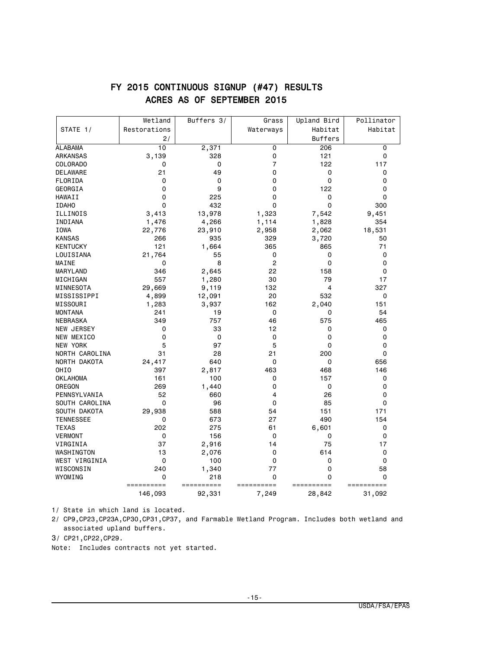|                  | Wetland      | Buffers 3/  | Grass          | Upland Bird    | Pollinator |
|------------------|--------------|-------------|----------------|----------------|------------|
| STATE 1/         | Restorations |             | Waterways      | Habitat        | Habitat    |
|                  | 2/           |             |                | <b>Buffers</b> |            |
| <b>ALABAMA</b>   | 10           | 2,371       | 0              | 206            | 0          |
| <b>ARKANSAS</b>  | 3,139        | 328         | 0              | 121            | 0          |
| COLORADO         | 0            | 0           | $\overline{7}$ | 122            | 117        |
| <b>DELAWARE</b>  | 21           | 49          | 0              | 0              | 0          |
| FLORIDA          | 0            | 0           | 0              | 0              | 0          |
| GEORGIA          | $\mathbf 0$  | 9           | 0              | 122            | 0          |
| HAWAII           | 0            | 225         | 0              | 0              | 0          |
| <b>IDAHO</b>     | $\mathbf 0$  | 432         | $\Omega$       | $\mathbf 0$    | 300        |
| ILLINOIS         | 3,413        | 13,978      | 1,323          | 7,542          | 9,451      |
| INDIANA          | 1,476        | 4,266       | 1,114          | 1,828          | 354        |
| IOWA             | 22,776       | 23,910      | 2,958          | 2,062          | 18,531     |
| <b>KANSAS</b>    | 266          | 935         | 329            | 3,720          | 50         |
| <b>KENTUCKY</b>  | 121          | 1,664       | 365            | 865            | 71         |
| LOUISIANA        | 21,764       | 55          | 0              | 0              | 0          |
| MAINE            | 0            | 8           | $\overline{c}$ | 0              | 0          |
| MARYLAND         | 346          | 2,645       | 22             | 158            | 0          |
| MICHIGAN         | 557          | 1,280       | 30             | 79             | 17         |
| MINNESOTA        | 29,669       | 9,119       | 132            | 4              | 327        |
| MISSISSIPPI      | 4,899        | 12,091      | 20             | 532            | 0          |
| MISSOURI         | 1,283        | 3,937       | 162            | 2,040          | 151        |
| <b>MONTANA</b>   | 241          | 19          | 0              | 0              | 54         |
| <b>NEBRASKA</b>  | 349          | 757         | 46             | 575            | 465        |
| NEW JERSEY       | 0            | 33          | 12             | 0              | 0          |
| NEW MEXICO       | 0            | $\mathbf 0$ | $\mathbf 0$    | 0              | 0          |
| NEW YORK         | 5            | 97          | 5              | 0              | 0          |
| NORTH CAROLINA   | 31           | 28          | 21             | 200            | 0          |
| NORTH DAKOTA     | 24,417       | 640         | 0              | 0              | 656        |
| OHIO             | 397          | 2,817       | 463            | 468            | 146        |
| <b>OKLAHOMA</b>  | 161          | 100         | 0              | 157            | 0          |
| OREGON           | 269          | 1,440       | 0              | 0              | 0          |
| PENNSYLVANIA     | 52           | 660         | 4              | 26             | 0          |
| SOUTH CAROLINA   | $\Omega$     | 96          | 0              | 85             | 0          |
| SOUTH DAKOTA     | 29,938       | 588         | 54             | 151            | 171        |
| <b>TENNESSEE</b> | 0            | 673         | 27             | 490            | 154        |
| <b>TEXAS</b>     | 202          | 275         | 61             | 6,601          | 0          |
| <b>VERMONT</b>   | $\mathbf 0$  | 156         | 0              | 0              | 0          |
| VIRGINIA         | 37           | 2,916       | 14             | 75             | 17         |
| WASHINGTON       | 13           | 2,076       | 0              | 614            | 0          |
| WEST VIRGINIA    | 0            | 100         | 0              | 0              | 0          |
| WISCONSIN        | 240          | 1,340       | 77             | 0              | 58         |
| WYOMING          | 0            | 218         | 0              | 0              | 0          |
|                  | ==========   | ==========  | ==========     | ==========     | ========== |
|                  | 146,093      | 92,331      | 7,249          | 28,842         | 31,092     |

### FY 2015 CONTINUOUS SIGNUP (#47) RESULTS ACRES AS OF SEPTEMBER 2015

1/ State in which land is located.

2/ CP9,CP23,CP23A,CP30,CP31,CP37, and Farmable Wetland Program. Includes both wetland and associated upland buffers.

3/ CP21,CP22,CP29.

Note: Includes contracts not yet started.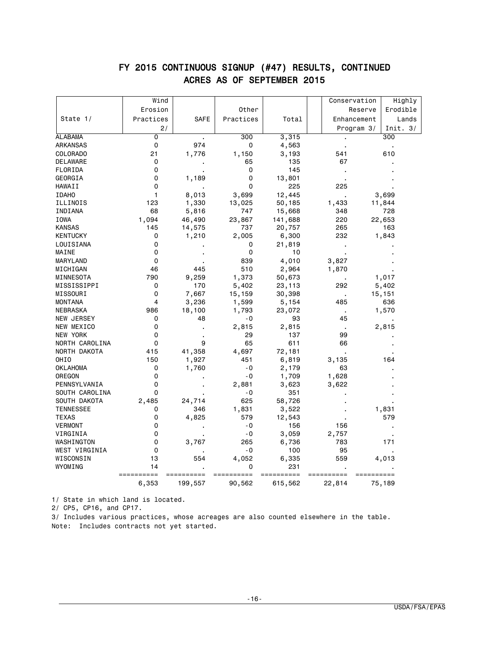|                           | Wind         |                |                 |                 |                                 | Conservation | Highly          |
|---------------------------|--------------|----------------|-----------------|-----------------|---------------------------------|--------------|-----------------|
|                           | Erosion      |                | Other           |                 |                                 | Reserve      | Erodible        |
| State $1/$                | Practices    | <b>SAFE</b>    | Practices       | Total           |                                 | Enhancement  | Lands           |
|                           | 2/           |                |                 |                 |                                 | Program 3/   | Init. $3/$      |
| <b>ALABAMA</b>            | 0            | $\blacksquare$ | 300             | 3,315           |                                 |              | 300             |
| ARKANSAS                  | 0            | 974            | 0               | 4,563           |                                 |              |                 |
| COLORADO                  | 21           | 1,776          | 1,150           | 3,193           | 541                             |              | 610             |
| <b>DELAWARE</b>           | 0            |                | 65              | 135             | 67                              |              |                 |
| FLORIDA                   | 0            |                | 0               | 145             |                                 |              |                 |
| GEORGIA                   | 0            | 1,189          | 0               | 13,801          |                                 |              |                 |
| HAWAII                    | 0            |                | 0               | 225             | 225                             |              |                 |
| <b>IDAHO</b>              | $\mathbf{1}$ | 8,013          | 3,699           | 12,445          |                                 |              | 3,699           |
| ILLINOIS                  | 123          | 1,330          | 13,025          | 50,185          | 1,433                           |              | 11,844          |
| INDIANA                   | 68           | 5,816          | 747             | 15,668          | 348                             |              | 728             |
| IOWA                      | 1,094        | 46,490         | 23,867          | 141,688         | 220                             |              | 22,653          |
| <b>KANSAS</b>             | 145          | 14,575         | 737             | 20,757          | 265                             |              | 163             |
| <b>KENTUCKY</b>           | 0            | 1,210          | 2,005           | 6,300           | 232                             |              | 1,843           |
| LOUISIANA                 | 0            |                | 0               | 21,819          |                                 |              |                 |
| MAINE                     | 0            |                | 0               | 10              |                                 |              |                 |
| MARYLAND                  | 0            |                | 839             | 4,010           | 3,827                           |              |                 |
| MICHIGAN                  | 46           | 445            | 510             | 2,964           | 1,870                           |              |                 |
| MINNESOTA                 | 790          | 9,259          | 1,373           | 50,673          |                                 |              | 1,017           |
| MISSISSIPPI               | 0            | 170            |                 | 23,113          | 292                             |              |                 |
| MISSOURI                  | 0            | 7,667          | 5,402<br>15,159 | 30,398          |                                 |              | 5,402<br>15,151 |
| <b>MONTANA</b>            | 4            | 3,236          | 1,599           | 5,154           | $\overline{\phantom{a}}$<br>485 |              | 636             |
| NEBRASKA                  | 986          | 18,100         | 1,793           | 23,072          |                                 |              | 1,570           |
| NEW JERSEY                | 0            | 48             | - 0             | 93              | $\cdot$<br>45                   |              |                 |
| NEW MEXICO                | 0            |                | 2,815           | 2,815           |                                 |              | 2,815           |
| <b>NEW YORK</b>           | 0            |                | 29              | 137             | $\cdot$<br>99                   |              |                 |
|                           | 0            | 9              | 65              | 611             | 66                              |              |                 |
| NORTH CAROLINA            |              |                |                 |                 |                                 |              |                 |
| NORTH DAKOTA              | 415          | 41,358         | 4,697<br>451    | 72,181<br>6,819 |                                 |              | 164             |
| OHIO                      | 150<br>0     | 1,927          | - 0             |                 | 3,135<br>63                     |              |                 |
| <b>OKLAHOMA</b><br>OREGON | 0            | 1,760          | - 0             | 2,179           | 1,628                           |              |                 |
| PENNSYLVANIA              | 0            |                |                 | 1,709           |                                 |              |                 |
| SOUTH CAROLINA            | 0            |                | 2,881<br>- 0    | 3,623<br>351    | 3,622                           |              |                 |
|                           |              |                | 625             | 58,726          |                                 |              |                 |
| SOUTH DAKOTA              | 2,485        | 24,714         |                 |                 |                                 |              |                 |
| <b>TENNESSEE</b>          | 0            | 346            | 1,831           | 3,522           |                                 |              | 1,831           |
| <b>TEXAS</b>              | 0            | 4,825          | 579             | 12,543          |                                 |              | 579             |
| <b>VERMONT</b>            | 0            |                | $-0$            | 156             | 156                             |              |                 |
| VIRGINIA                  | 0            |                | $-0$            | 3,059           | 2,757                           |              |                 |
| WASHINGTON                | 0            | 3,767          | 265             | 6,736           | 783                             |              | 171             |
| WEST VIRGINIA             | 0            |                | - 0             | 100             | 95                              |              |                 |
| WISCONSIN                 | 13           | 554            | 4,052           | 6,335           | 559                             |              | 4,013           |
| WYOMING                   | 14           |                | $\Omega$        | 231             |                                 |              |                 |
|                           | 6,353        |                | 90,562          | 615,562         | 22,814                          |              |                 |
|                           |              | 199,557        |                 |                 |                                 |              | 75,189          |

# FY 2015 CONTINUOUS SIGNUP (#47) RESULTS, CONTINUED ACRES AS OF SEPTEMBER 2015

1/ State in which land is located.

2/ CP5, CP16, and CP17.

3/ Includes various practices, whose acreages are also counted elsewhere in the table. Note: Includes contracts not yet started.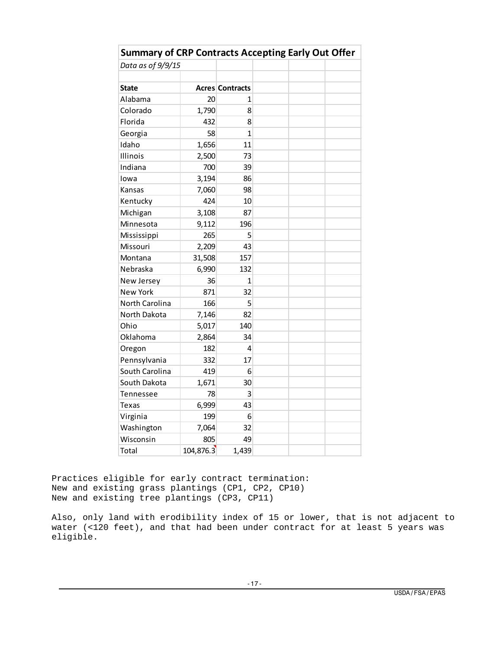| <b>Summary of CRP Contracts Accepting Early Out Offer</b> |           |                        |  |  |  |  |  |  |  |
|-----------------------------------------------------------|-----------|------------------------|--|--|--|--|--|--|--|
| Data as of 9/9/15                                         |           |                        |  |  |  |  |  |  |  |
|                                                           |           |                        |  |  |  |  |  |  |  |
| <b>State</b>                                              |           | <b>Acres Contracts</b> |  |  |  |  |  |  |  |
| Alabama                                                   | 20        | 1                      |  |  |  |  |  |  |  |
| Colorado                                                  | 1,790     | 8                      |  |  |  |  |  |  |  |
| Florida                                                   | 432       | 8                      |  |  |  |  |  |  |  |
| Georgia                                                   | 58        | $\mathbf{1}$           |  |  |  |  |  |  |  |
| Idaho                                                     | 1,656     | 11                     |  |  |  |  |  |  |  |
| Illinois                                                  | 2,500     | 73                     |  |  |  |  |  |  |  |
| Indiana                                                   | 700       | 39                     |  |  |  |  |  |  |  |
| lowa                                                      | 3,194     | 86                     |  |  |  |  |  |  |  |
| Kansas                                                    | 7,060     | 98                     |  |  |  |  |  |  |  |
| Kentucky                                                  | 424       | 10                     |  |  |  |  |  |  |  |
| Michigan                                                  | 3,108     | 87                     |  |  |  |  |  |  |  |
| Minnesota                                                 | 9,112     | 196                    |  |  |  |  |  |  |  |
| Mississippi                                               | 265       | 5                      |  |  |  |  |  |  |  |
| Missouri                                                  | 2,209     | 43                     |  |  |  |  |  |  |  |
| Montana                                                   | 31,508    | 157                    |  |  |  |  |  |  |  |
| Nebraska                                                  | 6,990     | 132                    |  |  |  |  |  |  |  |
| New Jersey                                                | 36        | 1                      |  |  |  |  |  |  |  |
| <b>New York</b>                                           | 871       | 32                     |  |  |  |  |  |  |  |
| North Carolina                                            | 166       | 5                      |  |  |  |  |  |  |  |
| North Dakota                                              | 7,146     | 82                     |  |  |  |  |  |  |  |
| Ohio                                                      | 5,017     | 140                    |  |  |  |  |  |  |  |
| Oklahoma                                                  | 2,864     | 34                     |  |  |  |  |  |  |  |
| Oregon                                                    | 182       | 4                      |  |  |  |  |  |  |  |
| Pennsylvania                                              | 332       | 17                     |  |  |  |  |  |  |  |
| South Carolina                                            | 419       | 6                      |  |  |  |  |  |  |  |
| South Dakota                                              | 1,671     | 30                     |  |  |  |  |  |  |  |
| Tennessee                                                 | 78        | 3                      |  |  |  |  |  |  |  |
| Texas                                                     | 6,999     | 43                     |  |  |  |  |  |  |  |
| Virginia                                                  | 199       | 6                      |  |  |  |  |  |  |  |
| Washington                                                | 7,064     | 32                     |  |  |  |  |  |  |  |
| Wisconsin                                                 | 805       | 49                     |  |  |  |  |  |  |  |
| Total                                                     | 104,876.3 | 1,439                  |  |  |  |  |  |  |  |

Practices eligible for early contract termination: New and existing grass plantings (CP1, CP2, CP10) New and existing tree plantings (CP3, CP11)

Also, only land with erodibility index of 15 or lower, that is not adjacent to water (<120 feet), and that had been under contract for at least 5 years was eligible.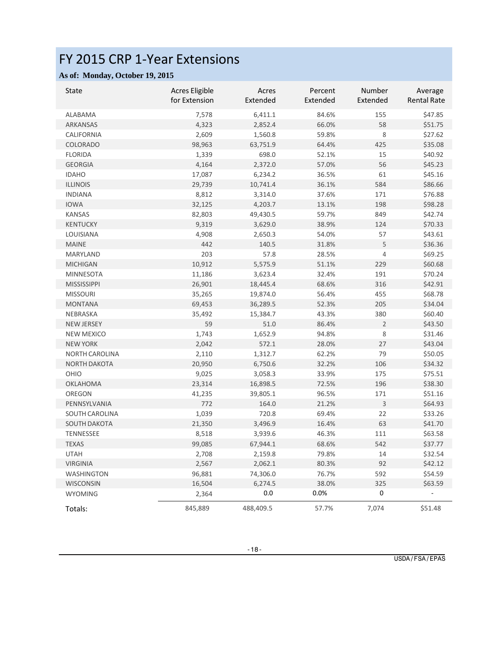# FY 2015 CRP 1-Year Extensions

#### **As of: Monday, October 19, 2015**

| <b>State</b>          | <b>Acres Eligible</b><br>for Extension | Acres<br>Extended | Percent<br>Extended | Number<br>Extended | Average<br><b>Rental Rate</b> |
|-----------------------|----------------------------------------|-------------------|---------------------|--------------------|-------------------------------|
| ALABAMA               | 7,578                                  | 6,411.1           | 84.6%               | 155                | \$47.85                       |
| ARKANSAS              | 4,323                                  | 2,852.4           | 66.0%               | 58                 | \$51.75                       |
| CALIFORNIA            | 2,609                                  | 1,560.8           | 59.8%               | $\,8\,$            | \$27.62                       |
| <b>COLORADO</b>       | 98,963                                 | 63,751.9          | 64.4%               | 425                | \$35.08                       |
| <b>FLORIDA</b>        | 1,339                                  | 698.0             | 52.1%               | 15                 | \$40.92                       |
| <b>GEORGIA</b>        | 4,164                                  | 2,372.0           | 57.0%               | 56                 | \$45.23                       |
| <b>IDAHO</b>          | 17,087                                 | 6,234.2           | 36.5%               | 61                 | \$45.16                       |
| <b>ILLINOIS</b>       | 29,739                                 | 10,741.4          | 36.1%               | 584                | \$86.66                       |
| <b>INDIANA</b>        | 8,812                                  | 3,314.0           | 37.6%               | 171                | \$76.88                       |
| <b>IOWA</b>           | 32,125                                 | 4,203.7           | 13.1%               | 198                | \$98.28                       |
| <b>KANSAS</b>         | 82,803                                 | 49,430.5          | 59.7%               | 849                | \$42.74                       |
| <b>KENTUCKY</b>       | 9,319                                  | 3,629.0           | 38.9%               | 124                | \$70.33                       |
| LOUISIANA             | 4,908                                  | 2,650.3           | 54.0%               | 57                 | \$43.61                       |
| <b>MAINE</b>          | 442                                    | 140.5             | 31.8%               | 5                  | \$36.36                       |
| <b>MARYLAND</b>       | 203                                    | 57.8              | 28.5%               | $\sqrt{4}$         | \$69.25                       |
| <b>MICHIGAN</b>       | 10,912                                 | 5,575.9           | 51.1%               | 229                | \$60.68                       |
| <b>MINNESOTA</b>      | 11,186                                 | 3,623.4           | 32.4%               | 191                | \$70.24                       |
| <b>MISSISSIPPI</b>    | 26,901                                 | 18,445.4          | 68.6%               | 316                | \$42.91                       |
| <b>MISSOURI</b>       | 35,265                                 | 19,874.0          | 56.4%               | 455                | \$68.78                       |
| <b>MONTANA</b>        | 69,453                                 | 36,289.5          | 52.3%               | 205                | \$34.04                       |
| NEBRASKA              | 35,492                                 | 15,384.7          | 43.3%               | 380                | \$60.40                       |
| <b>NEW JERSEY</b>     | 59                                     | 51.0              | 86.4%               | $\overline{2}$     | \$43.50                       |
| <b>NEW MEXICO</b>     | 1,743                                  | 1,652.9           | 94.8%               | 8                  | \$31.46                       |
| <b>NEW YORK</b>       | 2,042                                  | 572.1             | 28.0%               | 27                 | \$43.04                       |
| <b>NORTH CAROLINA</b> | 2,110                                  | 1,312.7           | 62.2%               | 79                 | \$50.05                       |
| NORTH DAKOTA          | 20,950                                 | 6,750.6           | 32.2%               | 106                | \$34.32                       |
| OHIO                  | 9,025                                  | 3,058.3           | 33.9%               | 175                | \$75.51                       |
| OKLAHOMA              | 23,314                                 | 16,898.5          | 72.5%               | 196                | \$38.30                       |
| OREGON                | 41,235                                 | 39,805.1          | 96.5%               | 171                | \$51.16                       |
| PENNSYLVANIA          | 772                                    | 164.0             | 21.2%               | 3                  | \$64.93                       |
| SOUTH CAROLINA        | 1,039                                  | 720.8             | 69.4%               | 22                 | \$33.26                       |
| <b>SOUTH DAKOTA</b>   | 21,350                                 | 3,496.9           | 16.4%               | 63                 | \$41.70                       |
| TENNESSEE             | 8,518                                  | 3,939.6           | 46.3%               | 111                | \$63.58                       |
| <b>TEXAS</b>          | 99,085                                 | 67,944.1          | 68.6%               | 542                | \$37.77                       |
| <b>UTAH</b>           | 2,708                                  | 2,159.8           | 79.8%               | 14                 | \$32.54                       |
| <b>VIRGINIA</b>       | 2,567                                  | 2,062.1           | 80.3%               | 92                 | \$42.12                       |
| <b>WASHINGTON</b>     | 96,881                                 | 74,306.0          | 76.7%               | 592                | \$54.59                       |
| <b>WISCONSIN</b>      | 16,504                                 | 6,274.5           | 38.0%               | 325                | \$63.59                       |
| <b>WYOMING</b>        | 2,364                                  | 0.0               | 0.0%                | $\mathbf{0}$       |                               |
| Totals:               | 845,889                                | 488,409.5         | 57.7%               | 7,074              | \$51.48                       |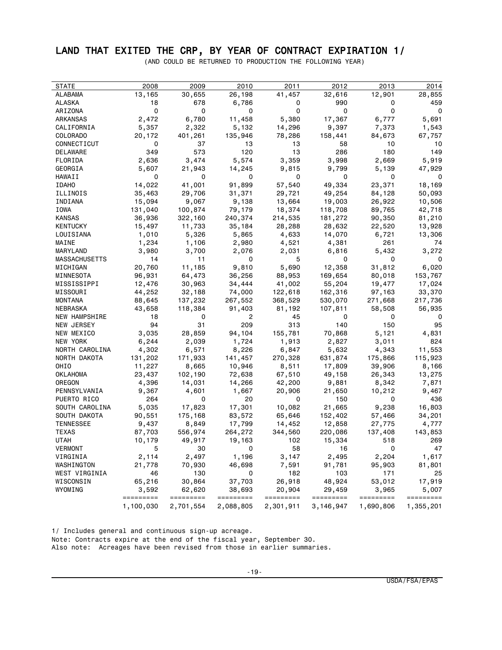# LAND THAT EXITED THE CRP, BY YEAR OF CONTRACT EXPIRATION 1/

(AND COULD BE RETURNED TO PRODUCTION THE FOLLOWING YEAR)

| <b>STATE</b>         | 2008      | 2009      | 2010           | 2011      | 2012      | 2013      | 2014      |
|----------------------|-----------|-----------|----------------|-----------|-----------|-----------|-----------|
| ALABAMA              | 13,165    | 30,655    | 26,198         | 41,457    | 32,616    | 12,901    | 28,855    |
| ALASKA               | 18        | 678       | 6,786          | 0         | 990       | 0         | 459       |
| ARIZONA              | 0         | 0         | 0              | 0         | 0         | 0         | 0         |
| <b>ARKANSAS</b>      | 2,472     | 6,780     | 11,458         | 5,380     | 17,367    | 6,777     | 5,691     |
| CALIFORNIA           | 5,357     | 2,322     | 5,132          | 14,296    | 9,397     | 7,373     | 1,543     |
| <b>COLORADO</b>      | 20,172    | 401,261   | 135,946        | 78,286    | 158,441   | 84,673    | 67,757    |
| CONNECTICUT          | 0         | 37        | 13             | 13        | 58        | 10        | 10        |
| DELAWARE             | 349       | 573       | 120            | 13        | 286       | 180       | 149       |
| FLORIDA              | 2,636     | 3,474     | 5,574          | 3,359     | 3,998     | 2,669     | 5,919     |
| GEORGIA              | 5,607     | 21,943    | 14,245         | 9,815     | 9,799     | 5,139     | 47,929    |
| HAWAII               | 0         | 0         | 0              | 0         | 0         | 0         | 0         |
| <b>IDAHO</b>         | 14,022    | 41,001    | 91,899         | 57,540    | 49,334    | 23,371    | 18,169    |
| ILLINOIS             | 35,463    | 29,706    | 31,371         | 29,721    | 49,254    | 84,128    | 50,093    |
| INDIANA              | 15,094    | 9,067     | 9,138          | 13,664    | 19,003    | 26,922    | 10,506    |
| IOWA                 | 131,040   | 100,874   | 79,179         | 18,374    | 118,708   | 89,765    | 42,718    |
| KANSAS               | 36,936    | 322,160   | 240,374        | 214,535   | 181,272   | 90,350    | 81,210    |
| KENTUCKY             | 15,497    | 11,733    | 35,184         | 28,288    | 28,632    | 22,520    | 13,928    |
| LOUISIANA            | 1,010     | 5,326     | 5,865          | 4,633     | 14,070    | 6,721     | 13,306    |
| MAINE                | 1,234     | 1,106     | 2,980          | 4,521     | 4,381     | 261       | 74        |
| MARYLAND             | 3,980     | 3,700     | 2,076          | 2,031     | 6,816     | 5,432     | 3,272     |
| <b>MASSACHUSETTS</b> | 14        | 11        | 0              | 5         | 0         | 0         | 0         |
| MICHIGAN             | 20,760    | 11,185    | 9,810          | 5,690     | 12,358    | 31,812    | 6,020     |
| MINNESOTA            | 96,931    | 64,473    | 36,256         | 88,953    | 169,654   | 80,018    | 153,767   |
| MISSISSIPPI          | 12,476    | 30,963    | 34,444         | 41,002    | 55,204    | 19,477    | 17,024    |
| MISSOURI             | 44,252    | 32,188    | 74,000         | 122,618   | 162,316   | 97,163    | 33,370    |
| MONTANA              | 88,645    | 137,232   | 267,552        | 368,529   | 530,070   | 271,668   | 217,736   |
| NEBRASKA             | 43,658    | 118,384   | 91,403         | 81,192    | 107,811   | 58,508    | 56,935    |
| <b>NEW HAMPSHIRE</b> | 18        | 0         | $\overline{c}$ | 45        | 0         | 0         | 0         |
| NEW JERSEY           | 94        | 31        | 209            | 313       | 140       | 150       | 95        |
| NEW MEXICO           | 3,035     | 28,859    | 94,104         | 155,781   | 70,868    | 5,121     | 4,831     |
| NEW YORK             | 6,244     | 2,039     | 1,724          | 1,913     | 2,827     | 3,011     | 824       |
| NORTH CAROLINA       | 4,302     | 6,571     | 8,226          | 6,847     | 5,632     | 4,343     | 11,553    |
| NORTH DAKOTA         | 131,202   | 171,933   | 141,457        | 270,328   | 631,874   | 175,866   | 115,923   |
| OHIO                 | 11,227    | 8,665     | 10,946         | 8,511     | 17,809    | 39,906    | 8,166     |
| OKLAHOMA             | 23,437    | 102,190   | 72,638         | 67,510    | 49,158    | 26,343    | 13,275    |
| OREGON               | 4,396     | 14,031    | 14,266         | 42,200    | 9,881     | 8,342     | 7,871     |
| PENNSYLVANIA         | 9,367     | 4,601     | 1,667          | 20,906    | 21,650    | 10,212    | 9,467     |
| PUERTO RICO          | 264       | 0         | 20             | 0         | 150       | 0         | 436       |
| SOUTH CAROLINA       | 5,035     | 17,823    | 17,301         | 10,082    | 21,665    | 9,238     | 16,803    |
| SOUTH DAKOTA         | 90,551    | 175,168   | 83,572         | 65,646    | 152,402   | 57,466    | 34,201    |
| <b>TENNESSEE</b>     | 9,437     | 8,849     | 17,799         | 14,452    | 12,858    | 27,775    | 4,777     |
| TEXAS                | 87,703    | 556,974   | 264,272        | 344,560   | 220,086   | 137,408   | 143,853   |
| UTAH                 | 10,179    | 49,917    | 19,163         | 102       | 15,334    | 518       | 269       |
| VERMONT              | 5         | 30        | 0              | 58        | 16        | 0         | 47        |
| VIRGINIA             | 2,114     | 2,497     | 1,196          | 3,147     | 2,495     | 2,204     | 1,617     |
| WASHINGTON           | 21,778    | 70,930    | 46,698         | 7,591     | 91,781    | 95,903    | 81,801    |
| WEST VIRGINIA        | 46        | 130       | 0              | 182       | 103       | 171       | 25        |
| WISCONSIN            | 65,216    | 30,864    | 37,703         | 26,918    | 48,924    | 53,012    | 17,919    |
| WYOMING              | 3,592     | 62,620    | 38,693         | 20,904    | 29,459    | 3,965     | 5,007     |
|                      | ========= | ========= | =========      | ========= | ========= | ========= | ========= |
|                      | 1,100,030 | 2,701,554 | 2,088,805      | 2,301,911 | 3,146,947 | 1,690,806 | 1,355,201 |

1/ Includes general and continuous sign-up acreage. Note: Contracts expire at the end of the fiscal year, September 30. Also note: Acreages have been revised from those in earlier summaries.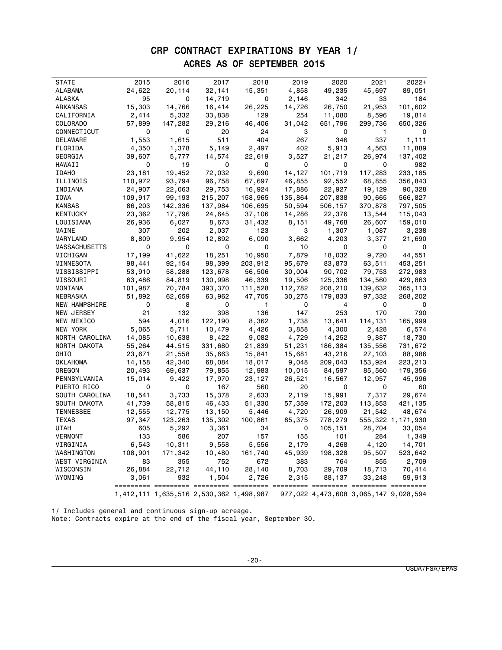### CRP CONTRACT EXPIRATIONS BY YEAR 1/ ACRES AS OF SEPTEMBER 2015

| <b>STATE</b>     | 2015                    | 2016    | 2017                                    | 2018         | 2019    | 2020    | 2021                                  | 2022+                |
|------------------|-------------------------|---------|-----------------------------------------|--------------|---------|---------|---------------------------------------|----------------------|
| ALABAMA          | 24,622                  | 20,114  | 32,141                                  | 15,351       | 4,858   | 49,235  | 45,697                                | 89,051               |
| ALASKA           | 95                      | 0       | 14,719                                  | 0            | 2,146   | 342     | 33                                    | 184                  |
| ARKANSAS         | 15,303                  | 14,766  | 16,414                                  | 26,225       | 14,726  | 26,750  | 21,953                                | 101,602              |
| CALIFORNIA       | 2,414                   | 5,332   | 33,838                                  | 129          | 254     | 11,080  | 8,596                                 | 19,814               |
| COLORADO         | 57,899                  | 147,282 | 29,216                                  | 46,406       | 31,042  | 651,796 | 299,736                               | 650,326              |
| CONNECTICUT      | 0                       | 0       | 20                                      | 24           | 3       | 0       | 1                                     | 0                    |
| DELAWARE         | 1,553                   | 1,615   | 511                                     | 404          | 267     | 346     | 337                                   | 1,111                |
| FLORIDA          | 4,350                   | 1,378   | 5,149                                   | 2,497        | 402     | 5,913   | 4,563                                 | 11,889               |
| GEORGIA          | 39,607                  | 5,777   | 14,574                                  | 22,619       | 3,527   | 21,217  | 26,974                                | 137,402              |
| HAWAII           | 0                       | 19      | 0                                       | 0            | 0       | 0       | 0                                     | 982                  |
| <b>IDAHO</b>     | 23,181                  | 19,452  | 72,032                                  | 9,690        | 14,127  | 101,719 | 117,283                               | 233,185              |
| ILLINOIS         | 110,972                 | 93,794  | 96,758                                  | 67,697       | 46,855  | 92,552  | 68,855                                | 356,843              |
| INDIANA          | 24,907                  | 22,063  | 29,753                                  | 16,924       | 17,886  | 22,927  | 19,129                                | 90,328               |
| IOWA             | 109,917                 | 99,193  | 215,207                                 | 158,965      | 135,864 | 207,838 | 90,665                                | 566,827              |
| KANSAS           | 86,203                  | 142,336 | 137,984                                 | 106,695      | 50,594  | 506,157 | 370,878                               | 797,505              |
| KENTUCKY         | 23,362                  | 17,796  | 24,645                                  | 37,106       | 14,286  | 22,376  | 13,544                                | 115,043              |
| LOUISIANA        | 26,936                  | 6,027   | 8,673                                   | 31,432       | 8,151   | 49,768  | 26,607                                | 159,010              |
| MAINE            | 307                     | 202     | 2,037                                   | 123          | 3       | 1,307   | 1,087                                 | 3,238                |
| MARYLAND         | 8,809                   | 9,954   | 12,892                                  | 6,090        | 3,662   | 4,203   | 3,377                                 | 21,690               |
| MASSACHUSETTS    | 0                       | 0       | 0                                       | 0            | 10      | 0       | 0                                     | - 0                  |
| MICHIGAN         | 17,199                  | 41,622  | 18,251                                  | 10,950       | 7,879   | 18,032  | 9,720                                 | 44,551               |
| MINNESOTA        | 98,441                  | 92,154  | 98,399                                  | 203,912      | 95,679  | 83,873  | 63,511                                | 453,251              |
| MISSISSIPPI      | 53,910                  | 58,288  | 123,678                                 | 56,506       | 30,004  | 90,702  | 79,753                                | 272,983              |
| MISSOURI         | 63,486                  | 84,819  | 130,998                                 | 46,339       | 19,506  | 125,336 | 134,560                               | 429,863              |
| MONTANA          | 101,987                 | 70,784  | 393,370                                 | 111,528      | 112,782 | 208,210 | 139,632                               | 365,113              |
| NEBRASKA         | 51,892                  | 62,659  | 63,962                                  | 47,705       | 30,275  | 179,833 | 97,332                                | 268,202              |
| NEW HAMPSHIRE    | $\overline{\mathbf{0}}$ | 8       | 0                                       | $\mathbf{1}$ | 0       | 4       | $\mathbf 0$                           | $\mathbf 0$          |
| NEW JERSEY       | 21                      | 132     | 398                                     | 136          | 147     | 253     | 170                                   | 790                  |
| NEW MEXICO       | 594                     | 4,016   | 122,190                                 | 8,362        | 1,738   | 13,641  | 114,131                               | 165,999              |
| NEW YORK         | 5,065                   | 5,711   | 10,479                                  | 4,426        | 3,858   | 4,300   | 2,428                                 | 6,574                |
| NORTH CAROLINA   | 14,085                  | 10,638  | 8,422                                   | 9,082        | 4,729   | 14,252  | 9,887                                 | 18,730               |
| NORTH DAKOTA     | 55,264                  | 44,515  | 331,680                                 | 21,839       | 51,231  | 186,384 | 135,556                               | 731,672              |
| OHIO             | 23,671                  | 21,558  | 35,663                                  | 15,841       | 15,681  | 43,216  | 27,103                                | 88,986               |
| OKLAHOMA         | 14,158                  | 42,340  | 68,084                                  | 18,017       | 9,048   | 209,043 | 153,924                               | 223,213              |
| OREGON           | 20,493                  | 69,637  | 79,855                                  | 12,983       | 10,015  | 84,597  | 85,560                                | 179,356              |
| PENNSYLVANIA     | 15,014                  | 9,422   | 17,970                                  | 23,127       | 26,521  | 16,567  | 12,957                                | 45,996               |
| PUERTO RICO      | 0                       | 0       | 167                                     | 560          | 20      | 0       | 0                                     | 60                   |
| SOUTH CAROLINA   | 18,541                  | 3,733   | 15,378                                  | 2,633        | 2,119   | 15,991  | 7,317                                 | 29,674               |
| SOUTH DAKOTA     | 41,739                  | 58,815  | 46,433                                  | 51,330       | 57,359  | 172,203 | 113,853                               | 421,135              |
| <b>TENNESSEE</b> | 12,555                  | 12,775  | 13,150                                  | 5,446        | 4,720   | 26,909  | 21,542                                | 48,674               |
| TEXAS            | 97,347                  | 123,263 | 135,302                                 | 100,861      | 85,375  | 778,279 |                                       | 555, 322 1, 171, 930 |
| UTAH             | 605                     | 5,292   | 3,361                                   | 34           | 0       | 105,151 | 28,704                                | 33,054               |
| VERMONT          | 133                     | 586     | 207                                     | 157          | 155     | 101     | 284                                   | 1,349                |
| VIRGINIA         | 6,543                   | 10,311  | 9,558                                   | 5,556        | 2,179   | 4,268   | 4,120                                 | 14,701               |
| WASHINGTON       | 108,901                 | 171,342 | 10,480                                  | 161,740      | 45,939  | 198,328 | 95,507                                | 523,642              |
| WEST VIRGINIA    | 83                      | 355     | 752                                     | 672          | 383     | 764     | 855                                   | 2,709                |
| WISCONSIN        | 26,884                  | 22,712  | 44,110                                  | 28,140       | 8,703   | 29,709  | 18,713                                | 70,414               |
| WYOMING          | 3,061                   | 932     | 1,504                                   | 2,726        | 2,315   | 88,137  | 33,248                                | 59,913               |
|                  |                         |         | 1,412,111 1,635,516 2,530,362 1,498,987 |              |         |         | 977,022 4,473,608 3,065,147 9,028,594 |                      |

1/ Includes general and continuous sign-up acreage. Note: Contracts expire at the end of the fiscal year, September 30.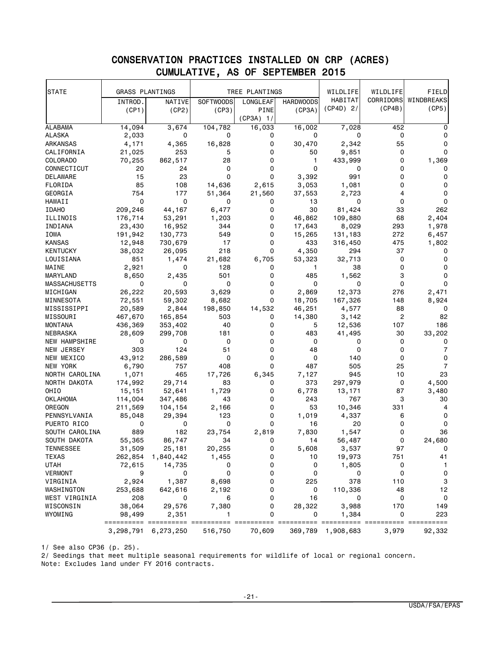#### STATE GRASS PLANTINGS TREE PLANTINGS WILDLIFE HABITAT (CP4D) 2/ WILDLIFE CORRIDORS (CP4B) FIELD WINDBREAKS (CP5) INTROD. (CP1) NATIVE (CP2) SOFTWOODS (CP3) LONGLEAF PINE (CP3A) 1/ HARDWOODS (CP3A) ALABAMA 14,094 3,674 104,782 16,033 16,002 7,028 452 0 ALASKA 2,033 0 0 0 0 0 0 0 ARKANSAS 4,171 4,365 16,828 0 30,470 2,342 55 0 CALIFORNIA 21,025 253 5 0 50 9,851 0 0 COLORADO 70,255 862,517 28 0 1 433,999 0 1,369 CONNECTICUT 20 24 0 0 0 0 0 0 0 DELAWARE 15 23 0 0 3,392 991 0 0 FLORIDA 85 108 14,636 2,615 3,053 1,081 0 0 GEORGIA 754 177 51,364 21,560 37,553 2,723 4 0 HAWAII 0 0 0 0 13 0 0 0 IDAHO 209,246 44,167 6,477 0 30 81,424 33 262 ILLINOIS 176,714 53,291 1,203 0 46,862 109,880 68 2,404 INDIANA 23,430 16,952 344 0 17,643 8,029 293 1,978 IOWA 191,942 130,773 549 0 15,265 131,183 272 6,457 KANSAS 12,948 730,679 17 0 433 316,450 475 1,802 KENTUCKY 38,032 26,095 218 0 4,350 294 37 0 LOUISIANA 851 1,474 21,682 6,705 53,323 32,713 0 0 MAINE 2 ,921 0 128 0 1 38 0 0 MARYLAND 8,650 2,435 501 0 485 1,562 3 0 MASSACHUSETTS 0 0 0 0 0 0 0 0 MICHIGAN 26,222 20,593 3,629 0 2,869 12,373 276 2,471 MINNESOTA 72,551 59,302 8,682 0 18,705 167,326 148 8,924 MISSISSIPPI 20,589 2,844 198,850 14,532 46,251 4,577 88 0 MISSOURI 467,670 165,854 503 0 14,380 3,142 2 82 MONTANA 436,369 353,402 40 0 5 12,536 107 186 NEBRASKA 28,609 299,708 181 0 483 41,495 30 33,202 NEW HAMPSHIRE 0 0 0 0 0 0 0 0 NEW JERSEY 303 124 51 0 48 0 0 7 NEW MEXICO 43,912 286,589 0 0 0 0 140 0 0 NEW YORK 6,790 757 408 0 487 505 25 7 NORTH CAROLINA 1,071 465 17,726 6,345 7,127 945 10 23 NORTH DAKOTA 174,992 29,714 83 0 373 297,979 0 4,500 OHIO 15,151 52,641 1,729 0 6,778 13,171 87 3,480 OKLAHOMA 114,004 347,486 43 0 243 767 3 30 OREGON 211,569 104,154 2,166 0 53 10,346 331 4 PENNSYLVANIA 85,048 29,394 123 0 1,019 4,337 6 0 PUERTO RICO 0 0 0 0 16 20 0 0 SOUTH CAROLINA 889 182 23,754 2,819 7,830 1,547 0 36 SOUTH DAKOTA 55,365 86,747 34 0 14 56,487 0 24,680 TENNESSEE 31,509 25,181 20,255 0 5,608 3,537 97 0 TEXAS 262,854 1,840,442 1,455 0 10 19,973 751 41 UTAH 72,615 14,735 0 0 0 1,805 0 1 VERMONT 9 0 0 0 0 0 0 0 VIRGINIA 2,924 1,387 8,698 0 225 378 110 3 WASHINGTON 253,688 642,616 2,192 0 0 110,336 48 12 WEST VIRGINIA 208 0 6 0 16 0 0 0 WISCONSIN 38,064 29,576 7,380 0 28,322 3,988 170 149 WYOMING 98,499 2,351 1 0 0 1,384 0 223 ========== ========== ========== ========== ========== ========== ========== ========== 3,298,791 6,273,250 516,750

#### CONSERVATION PRACTICES INSTALLED ON CRP (ACRES) CUMULATIVE, AS OF SEPTEMBER 2015

1/ See also CP36 (p. 25).

2/ Seedings that meet multiple seasonal requirements for wildlife of local or regional concern.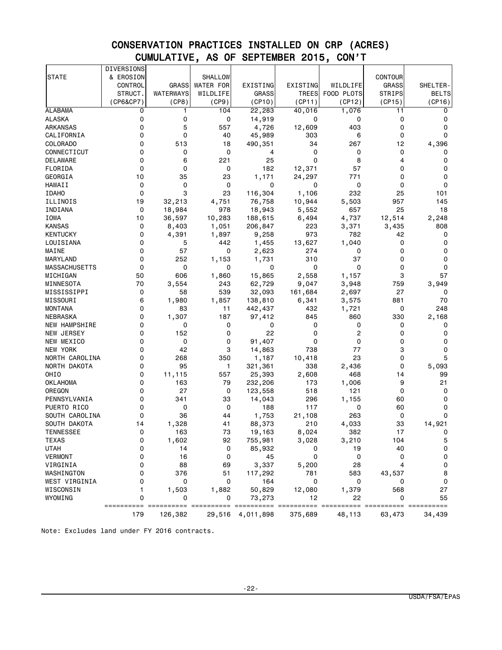# CONSERVATION PRACTICES INSTALLED ON CRP (ACRES) CUMULATIVE, AS OF SEPTEMBER 2015, CON'T

|                      | <b>DIVERSIONS</b>   |                 |                  |                  |             |                            |                |              |
|----------------------|---------------------|-----------------|------------------|------------------|-------------|----------------------------|----------------|--------------|
| <b>STATE</b>         | & EROSION           |                 | <b>SHALLOW</b>   |                  |             |                            | <b>CONTOUR</b> |              |
|                      | CONTROL             | <b>GRASS</b>    | <b>WATER FOR</b> | EXISTING         | EXISTING    | WILDLIFE                   | <b>GRASS</b>   | SHELTER-     |
|                      | STRUCT.             | WATERWAYS       | WILDLIFE         | <b>GRASS</b>     | TREES       | FOOD PLOTS                 | <b>STRIPS</b>  | <b>BELTS</b> |
|                      | (CP6&CP7)           | (CP8)           | (CP9)            | (CP10)           | (CP11)      | (CP12)                     | (CP15)         | (CP16)       |
| <b>ALABAMA</b>       | 0                   | 1               | 104              | 22, 283          | 40,016      | 1,076                      | 11             | 0            |
| <b>ALASKA</b>        | 0                   | 0               | 0                | 14,919           | 0           | 0                          | 0              | 0            |
| ARKANSAS             | 0                   | 5               | 557              | 4,726            | 12,609      | 403                        | 0              | 0            |
| CALIFORNIA           | 0                   | 0               | 40               | 45,989           | 303         | 6                          | 0              | 0            |
| COLORADO             | 0                   | 513             | 18               | 490,351          | 34          | 267                        | 12             | 4,396        |
| CONNECTICUT          | 0                   | 0               | 0                | 4                | 0           | 0                          | 0              | 0            |
| DELAWARE             | 0                   | 6               | 221              | 25               | $\mathbf 0$ | 8                          | 4              | 0            |
| FLORIDA              | 0                   | 0               | 0                | 182              | 12,371      | 57                         | 0              | 0            |
| GEORGIA              | 10                  | 35              | 23               | 1,171            | 24,297      | 771                        | 0              | 0            |
| HAWAII               | 0                   | 0               | 0                | 0                | 0           | 0                          | 0              | 0            |
| <b>IDAHO</b>         | 0                   | 3               | 23               | 116,304          | 1,106       | 232                        | 25             | 101          |
| ILLINOIS             | 19                  | 32,213          | 4,751            | 76,758           | 10,944      | 5,503                      | 957            | 145          |
| INDIANA              | 0                   | 18,984          | 978              | 18,943           | 5,552       | 657                        | 25             | 18           |
| IOWA                 | 10                  | 36,597          | 10,283           | 188,615          | 6,494       | 4,737                      | 12,514         | 2,248        |
| KANSAS               | 0                   | 8,403           | 1,051            | 206,847          | 223         | 3,371                      | 3,435          | 808          |
| <b>KENTUCKY</b>      | 0                   | 4,391           | 1,897            | 9,258            | 973         | 782                        | 42             | 0            |
| LOUISIANA            | 0                   | 5               | 442              | 1,455            | 13,627      | 1,040                      | 0              | 0            |
| MAINE                | 0                   | 57              | 0                | 2,623            | 274         | 0                          | 0              | 0            |
| MARYLAND             | 0                   | 252             | 1,153            | 1,731            | 310         | 37                         | 0              | 0            |
| <b>MASSACHUSETTS</b> | 0                   | 0               | 0                | 0                | 0           | 0                          | 0              | 0            |
| MICHIGAN             | 50                  | 606             | 1,860            | 15,865           | 2,558       | 1,157                      | 3              | 57           |
| MINNESOTA            | 70                  | 3,554           | 243              | 62,729           | 9,047       | 3,948                      | 759            | 3,949        |
| MISSISSIPPI          | 0                   | 58              | 539              | 32,093           | 161,684     | 2,697                      | 27             | 0            |
| MISSOURI             | 6                   | 1,980           | 1,857            | 138,810          | 6,341       | 3,575                      | 881            | 70           |
| MONTANA              | 0                   | 83              | 11               | 442,437          | 432         | 1,721                      | 0              | 248          |
| NEBRASKA             | 0                   | 1,307           | 187              | 97,412           | 845         | 860                        | 330            | 2,168        |
| <b>NEW HAMPSHIRE</b> | 0                   | 0               | 0                | 0                | 0           | 0                          | 0              | 0            |
| NEW JERSEY           | 0                   | 152             | 0                | 22               | 0           | 2                          | 0              | 0            |
| NEW MEXICO           | 0                   | 0               | 0                | 91,407           | 0           | 0                          | 0              | 0            |
| NEW YORK             | 0                   | 42              | 3                | 14,863           | 738         | 77                         | 3              | 0            |
| NORTH CAROLINA       | 0                   | 268             | 350              | 1,187            | 10,418      | 23                         | 0              | 5            |
| NORTH DAKOTA         | 0                   | 95              | 1                | 321,361          | 338         | 2,436                      | 0              | 5,093        |
| OHIO                 | 0                   | 11,115          | 557              | 25,393           | 2,608       | 468                        | 14             | 99           |
| OKLAHOMA             | 0                   | 163             | 79               | 232,206          | 173         | 1,006                      | 9              | 21           |
| OREGON               | 0                   | 27              | 0                | 123,558          | 518         | 121                        | 0              | 0            |
| PENNSYLVANIA         | 0                   | 341             | 33               | 14,043           | 296         | 1,155                      | 60             | 0            |
| PUERTO RICO          | 0                   | 0               | 0                | 188              | 117         | 0                          | 60             | 0            |
| SOUTH CAROLINA       | 0                   | 36              | 44               | 1,753            | 21,108      | 263                        | $\mathbf 0$    | $\mathbf 0$  |
| SOUTH DAKOTA         | 14                  | 1,328           | 41               | 88,373           | 210         | 4,033                      | 33             | 14,921       |
| TENNESSEE            | 0                   | 163             | 73               | 19,163           | 8,024       | 382                        | 17             | U            |
| <b>TEXAS</b>         | 0                   | 1,602           | 92               | 755,981          | 3,028       | 3,210                      | 104            | 5            |
| <b>UTAH</b>          | 0                   | 14              | 0                | 85,932           | 0           | 19                         | 40             | 0            |
| <b>VERMONT</b>       | 0                   | 16              | 0                | 45               | 0           | $\mathbf 0$                | 0              | 0            |
| VIRGINIA             | 0                   | 88              | 69               | 3,337            | 5,200       | 28                         | 4              | 0            |
| WASHINGTON           | 0                   | 376             | 51               | 117,292          | 781         | 583                        | 43,537         | 8            |
| WEST VIRGINIA        | 0                   | 0               | 0                | 164              | 0           | 0                          | 0              | 0            |
| WISCONSIN            | 1                   | 1,503           | 1,882            | 50,829           | 12,080      | 1,379                      | 568<br>0       | 27<br>55     |
| WYOMING              | 0<br>=======<br>=== | 0<br>========== | 0                | 73,273<br>===    | 12          | 22<br>==================== |                |              |
|                      | 179                 | 126,382         |                  | 29,516 4,011,898 | 375,689     | 48,113                     | 63,473         | 34,439       |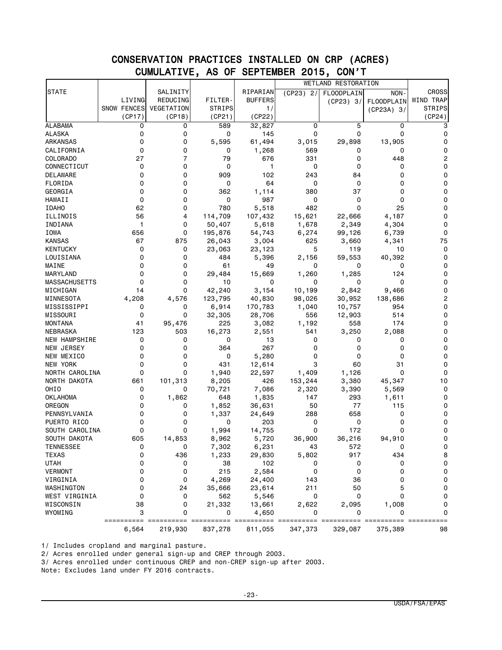### CONSERVATION PRACTICES INSTALLED ON CRP (ACRES) CUMULATIVE, AS OF SEPTEMBER 2015, CON'T

|                      |                     |            |                 |                                        |                      | WETLAND RESTORATION  |                        |                     |
|----------------------|---------------------|------------|-----------------|----------------------------------------|----------------------|----------------------|------------------------|---------------------|
| <b>STATE</b>         |                     | SALINITY   |                 | RIPARIAN                               | (CP23) 2/            | <b>FLOODPLAIN</b>    | NON-                   | <b>CROSS</b>        |
|                      | LIVING              | REDUCING   | FILTER-         | <b>BUFFERS</b>                         |                      | (CP23) 3/            | FLOODPLAIN             | WIND TRAP           |
|                      | <b>SNOW FENCES</b>  | VEGETATION | <b>STRIPS</b>   | 1/                                     |                      |                      | $(CP23A)$ 3/           | <b>STRIPS</b>       |
|                      | (CP17)              | (CP18)     | (CP21)          | (CP22)                                 |                      |                      |                        | (CP24)              |
| <b>ALABAMA</b>       | 0                   | 0          | 589             | 32,827                                 | 0                    | 5                    | 0                      | 3                   |
| ALASKA               | 0                   | 0          | 0               | 145                                    | 0                    | 0                    | $\mathbf 0$            | 0                   |
| ARKANSAS             | 0                   | 0          | 5,595           | 61,494                                 | 3,015                | 29,898               | 13,905                 | 0                   |
| CALIFORNIA           | 0                   | 0          | 0               | 1,268                                  | 569                  | 0                    | 0                      | 0                   |
| COLORADO             | 27                  | 7          | 79              | 676                                    | 331                  | 0                    | 448                    | 2                   |
| CONNECTICUT          | 0                   | 0          | 0               | 1                                      | 0                    | 0                    | 0                      | 0                   |
| DELAWARE             | 0                   | 0          | 909             | 102                                    | 243                  | 84                   | 0                      | 0                   |
| FLORIDA              | 0                   | 0          | 0               | 64                                     | 0                    | 0                    | 0                      | 0                   |
| GEORGIA              | $\mathbf 0$         | 0          | 362             | 1,114                                  | 380                  | 37                   | 0                      | 0                   |
| HAWAII               | 0                   | 0          | 0               | 987                                    | 0                    | 0                    | 0                      | 0                   |
| <b>IDAHO</b>         | 62                  | 0          | 780             | 5,518                                  | 482                  | 0                    | 25                     | 0                   |
| ILLINOIS             | 56                  | 4          | 114,709         | 107,432                                | 15,621               | 22,666               | 4,187                  | 0                   |
| INDIANA              | 1                   | 0          | 50,407          | 5,618                                  | 1,678                | 2,349                | 4,304                  | 0                   |
| IOWA                 | 656                 | 0          | 195,876         | 54,743                                 | 6,274                | 99,126               | 6,739                  | 0                   |
| <b>KANSAS</b>        | 67                  | 875        | 26,043          | 3,004                                  | 625                  | 3,660                | 4,341                  | 75                  |
| <b>KENTUCKY</b>      | 0                   | 0          | 23,063          | 23,123                                 | 5                    | 119                  | 10                     | 0                   |
| LOUISIANA            | 0                   | 0          | 484             | 5,396                                  | 2,156                | 59,553               | 40,392                 | 0                   |
| MAINE                | 0                   | 0          | 61              | 49                                     | 0                    | 0                    | 0                      | 0                   |
| MARYLAND             | 0                   | 0          | 29,484          | 15,669                                 | 1,260                | 1,285                | 124                    | 0                   |
| <b>MASSACHUSETTS</b> | 0                   | 0          | 10              | 0                                      | 0                    | 0                    | 0                      | 0                   |
| MICHIGAN             | 14                  | 0          | 42,240          | 3,154                                  | 10,199               | 2,842                | 9,466                  | 0                   |
| MINNESOTA            | 4,208               | 4,576      | 123,795         | 40,830                                 | 98,026               | 30,952               | 138,686                | 2                   |
| MISSISSIPPI          | 0                   | 0          | 6,914           | 170,783                                | 1,040                | 10,757               | 954                    | 0                   |
| MISSOURI             | 0                   | 0          | 32,305          | 28,706                                 | 556                  | 12,903               | 514                    | 0                   |
| <b>MONTANA</b>       | 41                  | 95,476     | 225             | 3,082                                  | 1,192                | 558                  | 174                    | 0                   |
| NEBRASKA             | 123                 | 503        | 16,273          | 2,551                                  | 541                  | 3,250                | 2,088                  | 0                   |
| NEW HAMPSHIRE        | 0                   | 0          | 0               | 13                                     | 0                    | 0                    | 0                      | 0                   |
| NEW JERSEY           | 0                   | 0          | 364             | 267                                    | 0                    | 0                    | 0                      | 0                   |
| NEW MEXICO           | 0                   | 0          | 0               | 5,280                                  | 0                    | 0                    | 0                      | 0                   |
| NEW YORK             | 0                   | 0          | 431             | 12,614                                 | 3                    | 60                   | 31                     | 0                   |
| NORTH CAROLINA       | 0                   | 0          | 1,940           | 22,597                                 | 1,409                | 1,126                | 0                      | 0                   |
| NORTH DAKOTA         | 661                 | 101,313    | 8,205           | 426                                    | 153,244              | 3,380                | 45,347                 | 10                  |
| OHIO                 | 0                   | 0          | 70,721          | 7,086                                  | 2,320                | 3,390                | 5,569                  | 0                   |
| OKLAHOMA             | 0                   | 1,862      | 648             | 1,835                                  | 147                  | 293                  | 1,611                  | 0                   |
| OREGON               | 0                   | 0          | 1,852           | 36,631                                 | 50                   | 77                   | 115                    | 0                   |
| PENNSYLVANIA         | 0                   | 0          | 1,337           | 24,649                                 | 288                  | 658                  | 0                      | 0                   |
| PUERTO RICO          | 0                   | 0          | 0               | 203                                    | 0                    | 0                    | 0                      | 0                   |
|                      | 0                   | 0          |                 |                                        | 0                    | 172                  | 0                      | 0                   |
| SOUTH CAROLINA       |                     |            | 1,994           | 14,755                                 |                      |                      |                        | 0                   |
| SOUTH DAKOTA         | 605                 | 14,853     | 8,962           | 5,720                                  | 36,900               | 36,216               | 94,910                 |                     |
| <b>TENNESSEE</b>     | 0                   | 0          | 7,302           | 6,231                                  | 43                   | 572                  | 0                      | 0                   |
| TEXAS                | 0                   | 436        | 1,233           | 29,830                                 | 5,802                | 917                  | 434                    | 8                   |
| <b>UTAH</b>          | 0                   | 0          | 38              | 102                                    | 0                    | 0                    | 0                      | 0                   |
| <b>VERMONT</b>       | 0                   | 0          | 215             | 2,584                                  | 0                    | 0                    | 0                      | 0                   |
| VIRGINIA             | 0                   | 0          | 4,269           | 24,400                                 | 143                  | 36                   | 0                      | 0                   |
| WASHINGTON           | 0                   | 24         | 35,666          | 23,614                                 | 211                  | 50                   | 5                      | $\mathsf{O}\xspace$ |
| WEST VIRGINIA        | 0                   | 0          | 562             | 5,546                                  | 0                    | 0                    | 0                      | 0                   |
| WISCONSIN            | 38                  | 0          | 21,332          | 13,661                                 | 2,622                | 2,095                | 1,008                  | 0                   |
| WYOMING              | 3                   | 0          | 0               | 4,650                                  | 0                    | 0                    | 0                      | 0<br>==========     |
|                      | ==========<br>6,564 | 219,930    | $==$<br>837,278 | $=$ $=$ $=$ $=$ $=$ $=$ $=$<br>811,055 | === =====<br>347,373 | == ======<br>329,087 | ==== ======<br>375,389 | 98                  |

1/ Includes cropland and marginal pasture.

2/ Acres enrolled under general sign-up and CREP through 2003.

3/ Acres enrolled under continuous CREP and non-CREP sign-up after 2003.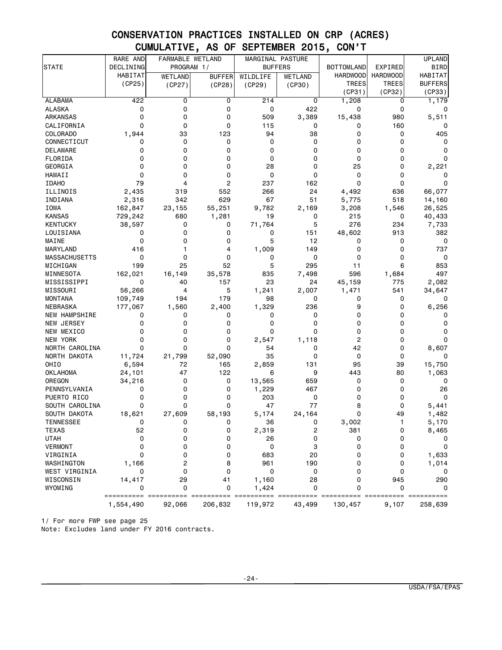# CONSERVATION PRACTICES INSTALLED ON CRP (ACRES) CUMULATIVE, AS OF SEPTEMBER 2015, CON'T

|                               | RARE AND  | FARMABLE WETLAND |                    | MARGINAL PASTURE |            |                   |                 | <b>UPLAND</b>  |
|-------------------------------|-----------|------------------|--------------------|------------------|------------|-------------------|-----------------|----------------|
| <b>STATE</b>                  | DECLINING | PROGRAM 1/       |                    | <b>BUFFERS</b>   |            | <b>BOTTOMLAND</b> | EXPIRED         | <b>BIRD</b>    |
|                               | HABITAT   | <b>WETLAND</b>   | <b>BUFFER</b>      | WILDLIFE         | WETLAND    | <b>HARDWOOD</b>   | <b>HARDWOOD</b> | HABITAT        |
|                               | (CP25)    | (CP27)           | (CP28)             | (CP29)           | (CP30)     | TREES             | <b>TREES</b>    | <b>BUFFERS</b> |
|                               |           |                  |                    |                  |            | (CP31)            | (CP32)          | (CP33)         |
| <b>ALABAMA</b>                | 422       | 0                | 0                  | 214              | 0          | 1,208             | 0               | 1,179          |
| ALASKA                        | 0         | 0                | 0                  | 0                | 422        | 0                 | 0               | 0              |
| ARKANSAS                      | 0         | 0                | 0                  | 509              | 3,389      | 15,438            | 980             | 5,511          |
| CALIFORNIA                    | 0         | 0                | 0                  | 115              | 0          | 0                 | 160             | 0              |
| COLORADO                      | 1,944     | 33               | 123                | 94               | 38         | 0                 | 0               | 405            |
| CONNECTICUT                   | 0         | 0                | 0                  | 0                | 0          | 0                 | $\mathbf 0$     | 0              |
| DELAWARE                      | 0         | 0                | 0                  | 0                | 0          | 0                 | 0               | 0              |
| FLORIDA                       | 0         | 0                | 0                  | 0                | 0          | 0                 | 0               | 0              |
| GEORGIA                       | $\Omega$  | 0                | 0                  | 28               | 0          | 25                | 0               | 2,221          |
| HAWAII                        | 0         | 0                | 0                  | 0                | 0          | 0                 | 0               | 0              |
| <b>IDAHO</b>                  | 79        | 4                | 2                  | 237              | 162        | 0                 | 0               | 0              |
| ILLINOIS                      | 2,435     | 319              | 552                | 266              | 24         | 4,492             | 636             | 66,077         |
| INDIANA                       | 2,316     | 342              | 629                | 67               | 51         | 5,775             | 518             | 14,160         |
| IOWA                          | 162,847   | 23,155           | 55,251             | 9,782            | 2,169      | 3,208             | 1,546           | 26,525         |
| <b>KANSAS</b>                 | 729,242   | 680              | 1,281              | 19               | 0          | 215               | 0               | 40,433         |
| KENTUCKY                      | 38,597    | 0                | 0                  | 71,764           | 5          | 276               | 234             | 7,733          |
| LOUISIANA                     | 0         | 0                | 0                  | 0                | 151        | 48,602            | 913             | 382            |
| MAINE                         | 0         | 0                | 0                  | 5                | 12         | 0                 | 0               | 0              |
| MARYLAND                      | 416       | 1                | 4                  | 1,009            | 149        | 0                 | $\mathbf 0$     | 737            |
| <b>MASSACHUSETTS</b>          | 0         | 0                | 0                  | 0                | 0          | 0                 | 0               | 0              |
| MICHIGAN                      | 199       | 25               | 52                 | 5                | 295        | 11                | 6               | 853            |
| MINNESOTA                     | 162,021   | 16,149           | 35,578             | 835              | 7,498      | 596               | 1,684           | 497            |
| MISSISSIPPI                   | 0         | 40               | 157                | 23               | 24         | 45,159            | 775             | 2,082          |
| MISSOURI                      | 56,266    | 4                | 5                  | 1,241            | 2,007      | 1,471             | 541             | 34,647         |
| <b>MONTANA</b>                | 109,749   | 194              | 179                | 98               | 0          | 0                 | 0               | 0              |
| NEBRASKA                      | 177,067   | 1,560            | 2,400              | 1,329            | 236        | 9                 | 0               | 6,256          |
| <b>NEW HAMPSHIRE</b>          | 0         | 0                | 0                  | 0                | 0          | 0                 | 0               | 0              |
| NEW JERSEY                    | 0         | 0                | 0                  | 0                | 0          | 0                 | $\mathbf 0$     | 0              |
| NEW MEXICO                    | 0         | 0                | $\mathbf 0$        | 0                | 0          | 0                 | $\Omega$        | 0              |
| NEW YORK                      | 0         | 0                | 0                  | 2,547            | 1,118      | 2                 | 0               | 0              |
| NORTH CAROLINA                | 0         | 0                | $\Omega$           | 54               | 0          | 42                | 0               | 8,607          |
| NORTH DAKOTA                  | 11,724    | 21,799           | 52,090             | 35               | $\Omega$   | 0                 | 0               | 0              |
| OHI <sub>0</sub>              | 6,594     | 72               | 165                | 2,859            | 131        | 95                | 39              | 15,750         |
| <b>OKLAHOMA</b>               | 24,101    | 47               | 122                | 6                | 9          | 443<br>0          | 80              | 1,063          |
| OREGON                        | 34,216    | 0<br>0           | 0                  | 13,565           | 659<br>467 | 0                 | 0               | 0              |
| PENNSYLVANIA                  | 0<br>0    | 0                | 0<br>0             | 1,229<br>203     | 0          | 0                 | 0<br>0          | 26<br>0        |
| PUERTO RICO<br>SOUTH CAROLINA | 0         | 0                | 0                  | 47               | 77         | 8                 | 0               |                |
|                               |           |                  |                    |                  | 24,164     | 0                 | 49              | 5,441<br>1,482 |
| SOUTH DAKOTA                  | 18,621    | 27,609<br>n      | 58,193<br>$\Omega$ | 5,174            |            |                   |                 |                |
| TENNESSEE<br><b>TEXAS</b>     | 0<br>52   | 0                | 0                  | 36<br>2,319      | 0<br>2     | 3,002<br>381      | 0               | 5,170          |
| <b>UTAH</b>                   | 0         |                  | 0                  | 26               | 0          | 0                 | 0               | 8,465          |
| <b>VERMONT</b>                | 0         | 0<br>0           | 0                  | 0                | 3          | 0                 | 0               | 0<br>0         |
| VIRGINIA                      | 0         | 0                | 0                  | 683              | 20         | 0                 | 0               |                |
| WASHINGTON                    | 1,166     | 2                | 8                  | 961              | 190        | 0                 | 0               | 1,633<br>1,014 |
| WEST VIRGINIA                 | 0         | 0                | 0                  | 0                | 0          | 0                 | $\mathbf 0$     | 0              |
| WISCONSIN                     | 14,417    | 29               | 41                 | 1,160            | 28         | 0                 | 945             | 290            |
| WYOMING                       | 0         | 0                | 0                  | 1,424            | 0          | 0                 | $\mathbf 0$     | 0              |
|                               |           |                  |                    |                  |            |                   |                 |                |
|                               | 1,554,490 | 92,066           | 206,832            | 119,972          | 43,499     | 130,457           | 9,107           | 258,639        |

1/ For more FWP see page 25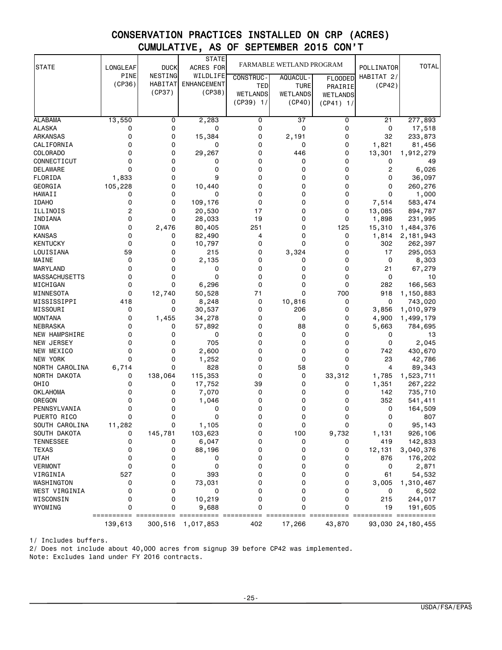# CONSERVATION PRACTICES INSTALLED ON CRP (ACRES) CUMULATIVE, AS OF SEPTEMBER 2015 CON'T

| <b>STATE</b>         | LONGLEAF    | <b>DUCK</b>    | <b>STATE</b><br>ACRES FOR | FARMABLE WETLAND PROGRAM |                 |                | POLLINATOR  | <b>TOTAL</b>      |
|----------------------|-------------|----------------|---------------------------|--------------------------|-----------------|----------------|-------------|-------------------|
|                      | <b>PINE</b> | NESTING        | WILDLIFE                  | <b>CONSTRUC-</b>         | AQUACUL-        | <b>FLOODED</b> | HABITAT 2/  |                   |
|                      | (CP36)      | <b>HABITAT</b> | <b>ENHANCEMENT</b>        | TED                      | <b>TURE</b>     | PRAIRIE        | (CP42)      |                   |
|                      |             | (CP37)         | (CP38)                    | <b>WETLANDS</b>          | <b>WETLANDS</b> | WETLANDS       |             |                   |
|                      |             |                |                           | $(CP39)$ 1/              | (CP40)          | $(CP41)$ 1/    |             |                   |
|                      |             |                |                           |                          |                 |                |             |                   |
| <b>ALABAMA</b>       | 13,550      | 0              | 2,283                     | 0                        | 37              | 0              | 21          | 277,893           |
| <b>ALASKA</b>        | 0           | 0              | 0                         | 0                        | $\mathbf 0$     | 0              | 0           | 17,518            |
| <b>ARKANSAS</b>      | 0           | 0              | 15,384                    | 0                        | 2,191           | 0              | 32          | 233,873           |
| CALIFORNIA           | 0           | 0              | 0                         | 0                        | 0               | 0              | 1,821       | 81,456            |
| COLORADO             | 0           | 0              | 29,267                    | 0                        | 446             | 0              | 13,301      | 1,912,279         |
| CONNECTICUT          | 0           | 0              | 0                         | 0                        | 0               | 0              | 0           | 49                |
| <b>DELAWARE</b>      | 0           | 0              | 0                         | 0                        | $\mathbf 0$     | 0              | 2           | 6,026             |
| FLORIDA              | 1,833       | 0              | 9                         | 0                        | 0               | 0              | 0           | 36,097            |
| GEORGIA              | 105,228     | 0              | 10,440                    | 0                        | 0               | 0              | 0           | 260,276           |
| HAWAII               | 0           | 0              | 0                         | 0                        | 0               | 0              | $\Omega$    | 1,000             |
| <b>IDAHO</b>         | 0           | 0              | 109,176                   | 0                        | 0               | 0              | 7,514       | 583,474           |
| ILLINOIS             | 2           | 0              | 20,530                    | 17                       | 0               | 0              | 13,085      | 894,787           |
| INDIANA              | 0           | 0              | 28,033                    | 19                       | 0               | 0              | 1,898       | 231,995           |
| <b>IOWA</b>          | 0           | 2,476          | 80,405                    | 251                      | 0               | 125            | 15,310      | 1,484,376         |
| <b>KANSAS</b>        | 0           | 0              | 82,490                    | 4                        | 0               | 0              | 1,814       | 2,181,943         |
| <b>KENTUCKY</b>      | 0           | 0              | 10,797                    | 0                        | 0               | 0              | 302         | 262,397           |
| LOUISIANA            | 59          | 0              | 215                       | 0                        | 3,324           | 0              | 17          | 295,053           |
| MAINE                | 0           | 0              | 2,135                     | 0                        | 0               | 0              | 0           | 8,303             |
| MARYLAND             | 0           | 0              | 0                         | 0                        | $\Omega$        | 0              | 21          | 67,279            |
| <b>MASSACHUSETTS</b> | 0           | 0              | 0                         | 0                        | 0               | 0              | 0           | 10                |
| MICHIGAN             | 0           | 0              | 6,296                     | 0                        | 0               | 0              | 282         | 166,563           |
| MINNESOTA            | 0           | 12,740         | 50,528                    | 71                       | $\Omega$        | 700            | 918         | 1,150,883         |
| MISSISSIPPI          | 418         | 0              | 8,248                     | 0                        | 10,816          | 0              | 0           | 743,020           |
| MISSOURI             | 0           | 0              | 30,537                    | 0                        | 206             | 0              | 3,856       | 1,010,979         |
| <b>MONTANA</b>       | 0           | 1,455          | 34,278                    | 0                        | $\mathbf 0$     | 0              | 4,900       | 1,499,179         |
| NEBRASKA             | 0           | 0              | 57,892                    | 0                        | 88              | 0              | 5,663       | 784,695           |
| <b>NEW HAMPSHIRE</b> | 0           | 0              | 0                         | 0                        | $\mathbf 0$     | 0              | 0           | 13                |
| NEW JERSEY           | 0           | 0              | 705                       | 0                        | 0               | 0              | $\mathbf 0$ | 2,045             |
| NEW MEXICO           | 0           | 0              | 2,600                     | 0                        | 0               | 0              | 742         | 430,670           |
| <b>NEW YORK</b>      | 0           | 0              | 1,252                     | 0                        | 0               | 0              | 23          | 42,786            |
| NORTH CAROLINA       | 6,714       | 0              | 828                       | 0                        | 58              | 0              | 4           | 89,343            |
| NORTH DAKOTA         | 0           | 138,064        | 115,353                   | 0                        | 0               | 33,312         | 1,785       | 1,523,711         |
| OHIO                 | 0           | 0              | 17,752                    | 39                       | 0               | 0              | 1,351       | 267,222           |
| <b>OKLAHOMA</b>      | 0           | 0              | 7,070                     | 0                        | $\mathbf 0$     | 0              | 142         | 735,710           |
| OREGON               | 0           | 0              | 1,046                     | 0                        | 0               | 0              | 352         | 541,411           |
| PENNSYLVANIA         | 0           | 0              | 0                         | 0                        | 0               | 0              | 0           | 164,509           |
| PUERTO RICO          | 0           | 0              | 0                         | 0                        | 0               | 0              | 0           | 807               |
| SOUTH CAROLINA       | 11,282      | 0              | 1,105                     | 0                        | 0               | 0              | 0           | 95,143            |
| SOUTH DAKOTA         | 0           | 145,781        | 103,623                   | 0                        | 100             | 9,732          | 1,131       | 926,106           |
| <b>TENNESSEE</b>     | 0           | 0              | 6,047                     | 0                        | 0               | 0              | 419         | 142,833           |
| <b>TEXAS</b>         | 0           | 0              | 88,196                    | 0                        | 0               | 0              | 12,131      | 3,040,376         |
| <b>UTAH</b>          | 0           | 0              | 0                         | 0                        | 0               | 0              | 876         | 176,202           |
| <b>VERMONT</b>       | 0           | 0              | 0                         | 0                        | 0               | 0              | 0           | 2,871             |
| VIRGINIA             | 527         | 0              | 393                       | 0                        | 0               | 0              | 61          | 54,532            |
| WASHINGTON           | 0           | 0              | 73,031                    | 0                        | 0               | 0              | 3,005       | 1,310,467         |
| WEST VIRGINIA        | 0           | 0              | 0                         | 0                        | 0               | 0              | 0           | 6,502             |
| WISCONSIN            | 0           | 0              | 10,219                    | 0                        | 0               | 0              | 215         | 244,017           |
| WYOMING              | 0           | 0              | 9,688                     | 0                        | 0               | 0              | 19          | 191,605           |
|                      |             |                |                           |                          |                 |                |             |                   |
|                      | 139,613     | 300,516        | 1,017,853                 | 402                      | 17,266          | 43,870         |             | 93,030 24,180,455 |

1/ Includes buffers.

2/ Does not include about 40,000 acres from signup 39 before CP42 was implemented.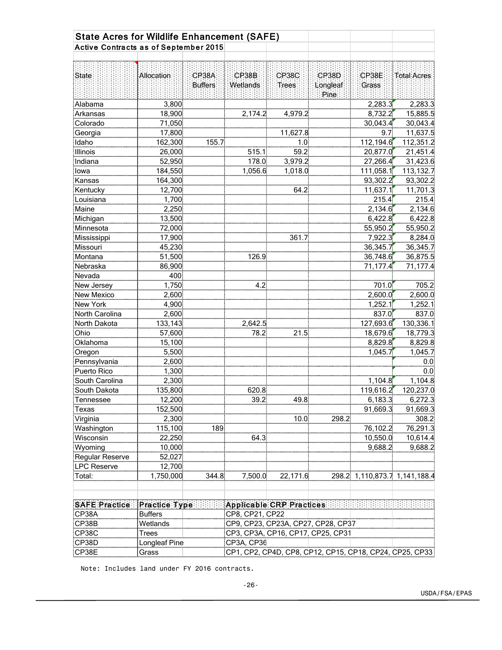| <b>State Acres for Wildlife Enhancement (SAFE)</b> |                |                         |                   |                                                         |                    |                |                         |
|----------------------------------------------------|----------------|-------------------------|-------------------|---------------------------------------------------------|--------------------|----------------|-------------------------|
| Active Contracts as of September 2015              |                |                         |                   |                                                         |                    |                |                         |
|                                                    |                |                         |                   |                                                         |                    |                |                         |
| State                                              | Allocation     | CP38A<br><b>Buffers</b> | CP38B<br>Wetlands | CP38C<br>Trees                                          | CP38D:<br>Longleaf | CP38E<br>Grass | Total Acres             |
|                                                    |                |                         |                   |                                                         | Pine               |                |                         |
| Alabama                                            | 3,800          |                         |                   |                                                         |                    | 2,283.3        | 2,283.3                 |
| Arkansas                                           | 18,900         |                         | 2,174.2           | 4,979.2                                                 |                    | 8,732.2        | 15,885.5                |
| Colorado                                           | 71,050         |                         |                   |                                                         |                    | 30,043.4       | 30,043.4                |
| Georgia                                            | 17,800         |                         |                   | 11,627.8                                                |                    | 9.7            | 11,637.5                |
| Idaho                                              | 162,300        | 155.7                   |                   | 1.0                                                     |                    | 112,194.6      | 112,351.2               |
| Illinois                                           | 26,000         |                         | 515.1             | 59.2                                                    |                    | 20,877.0       | 21,451.4                |
| Indiana                                            | 52,950         |                         | 178.0             | 3,979.2                                                 |                    | 27,266.4       | 31,423.6                |
| lowa                                               | 184,550        |                         | 1,056.6           | 1,018.0                                                 |                    | 111,058.1      | 113,132.7               |
| Kansas                                             | 164,300        |                         |                   |                                                         |                    | 93,302.2       | 93,302.2                |
| Kentucky                                           | 12,700         |                         |                   | 64.2                                                    |                    | 11,637.1       | 11,701.3                |
| Louisiana                                          | 1,700          |                         |                   |                                                         |                    | 215.4          | 215.4                   |
| Maine                                              | 2,250          |                         |                   |                                                         |                    | 2,134.6        | 2,134.6                 |
| Michigan                                           | 13,500         |                         |                   |                                                         |                    | 6,422.8        | 6,422.8                 |
| Minnesota                                          | 72,000         |                         |                   |                                                         |                    | 55,950.2       | 55,950.2                |
| Mississippi                                        | 17,900         |                         |                   | 361.7                                                   |                    | 7,922.3        | 8,284.0                 |
| Missouri                                           | 45,230         |                         |                   |                                                         |                    | 36,345.7       | 36,345.7                |
| Montana                                            | 51,500         |                         | 126.9             |                                                         |                    | 36,748.6       | 36,875.5                |
| Nebraska                                           | 86,900         |                         |                   |                                                         |                    | 71,177.4       | 71,177.4                |
| Nevada                                             | 400            |                         |                   |                                                         |                    |                |                         |
| New Jersey                                         | 1,750          |                         | 4.2               |                                                         |                    | 701.0          | 705.2                   |
| <b>New Mexico</b>                                  | 2,600          |                         |                   |                                                         |                    | 2,600.0        | 2,600.0                 |
| New York                                           | 4,900          |                         |                   |                                                         |                    | 1,252.1        | 1,252.1                 |
| North Carolina                                     | 2,600          |                         |                   |                                                         |                    | 837.0          | 837.0                   |
| North Dakota                                       | 133,143        |                         | 2,642.5           |                                                         |                    | 127,693.6      | 130,336.1               |
| Ohio                                               | 57,600         |                         | 78.2              | 21.5                                                    |                    | 18,679.6       | 18,779.3                |
| Oklahoma                                           | 15,100         |                         |                   |                                                         |                    | 8,829.8        | 8,829.8                 |
| Oregon                                             | 5,500          |                         |                   |                                                         |                    | 1,045.7        | 1,045.7                 |
| Pennsylvania                                       | 2,600          |                         |                   |                                                         |                    |                | 0.0                     |
| Puerto Rico                                        | 1,300          |                         |                   |                                                         |                    |                | 0.0                     |
| South Carolina                                     | 2,300          |                         |                   |                                                         |                    | 1,104.8        | 1,104.8                 |
| South Dakota                                       | 135,800        |                         | 620.8             |                                                         |                    | 119,616.2      | 120,237.0               |
| Tennessee                                          | 12,200         |                         | 39.2              | 49.8                                                    |                    | 6,183.3        | 6,272.3                 |
| Texas                                              | 152,500        |                         |                   |                                                         |                    | 91,669.3       | 91,669.3                |
| Virginia                                           | 2,300          |                         |                   | 10.0                                                    | 298.2              |                | 308.2                   |
| Washington                                         | 115,100        | 189                     |                   |                                                         |                    | 76,102.2       | 76,291.3                |
| Wisconsin                                          | 22,250         |                         | 64.3              |                                                         |                    | 10,550.0       | 10,614.4                |
| Wyoming                                            | 10,000         |                         |                   |                                                         |                    | 9,688.2        | 9,688.2                 |
| Regular Reserve                                    | 52,027         |                         |                   |                                                         |                    |                |                         |
| <b>LPC Reserve</b>                                 | 12,700         |                         |                   |                                                         |                    |                |                         |
| Total:                                             | 1,750,000      | 344.8                   | 7,500.0           | 22,171.6                                                | 298.2              |                | 1,110,873.7 1,141,188.4 |
| <b>SAFE Practice</b>                               | Practice Type: |                         |                   | <b>Applicable CRP Practices</b>                         |                    |                |                         |
| CP38A                                              | <b>Buffers</b> |                         | CP8, CP21, CP22   |                                                         |                    |                |                         |
| CP38B                                              | Wetlands       |                         |                   | CP9, CP23, CP23A, CP27, CP28, CP37                      |                    |                |                         |
| CP38C                                              | <b>Trees</b>   |                         |                   | CP3, CP3A, CP16, CP17, CP25, CP31                       |                    |                |                         |
| CP38D                                              | Longleaf Pine  |                         | CP3A, CP36        |                                                         |                    |                |                         |
| CP38E                                              | Grass          |                         |                   | CP1, CP2, CP4D, CP8, CP12, CP15, CP18, CP24, CP25, CP33 |                    |                |                         |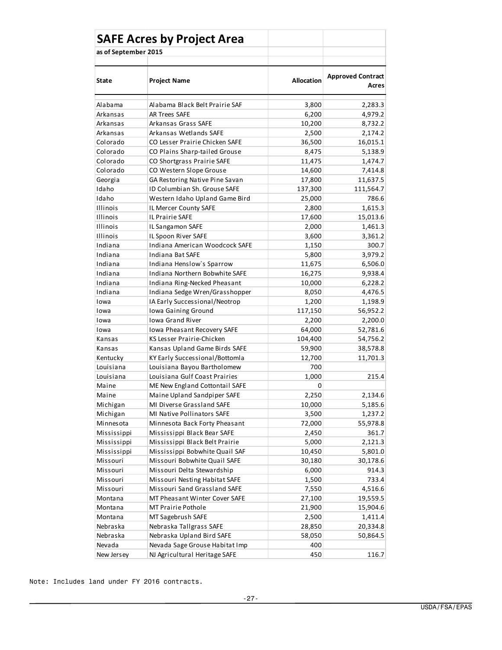|                      | <b>SAFE Acres by Project Area</b>  |                   |                                   |
|----------------------|------------------------------------|-------------------|-----------------------------------|
| as of September 2015 |                                    |                   |                                   |
|                      |                                    |                   |                                   |
| State                | <b>Project Name</b>                | <b>Allocation</b> | <b>Approved Contract</b><br>Acres |
| Alabama              | Alabama Black Belt Prairie SAF     | 3,800             | 2,283.3                           |
| Arkansas             | AR Trees SAFE                      | 6,200             | 4,979.2                           |
| Arkansas             | Arkansas Grass SAFE                | 10,200            | 8,732.2                           |
| Arkansas             | Arkansas Wetlands SAFE             | 2,500             | 2,174.2                           |
| Colorado             | CO Lesser Prairie Chicken SAFE     | 36,500            | 16,015.1                          |
| Colorado             | CO Plains Sharp-tailed Grouse      | 8,475             | 5,138.9                           |
| Colorado             | CO Shortgrass Prairie SAFE         | 11,475            | 1,474.7                           |
| Colorado             | CO Western Slope Grouse            | 14,600            | 7,414.8                           |
| Georgia              | GA Restoring Native Pine Savan     | 17,800            | 11,637.5                          |
| Idaho                | ID Columbian Sh. Grouse SAFE       | 137,300           | 111,564.7                         |
| Idaho                | Western Idaho Upland Game Bird     | 25,000            | 786.6                             |
| Illinois             | IL Mercer County SAFE              | 2,800             | 1,615.3                           |
| Illinois             | IL Prairie SAFE                    | 17,600            | 15,013.6                          |
| Illinois             | IL Sangamon SAFE                   | 2,000             | 1,461.3                           |
| Illinois             | IL Spoon River SAFE                | 3,600             | 3,361.2                           |
| Indiana              | Indiana American Woodcock SAFE     | 1,150             | 300.7                             |
| Indiana              | Indiana Bat SAFE                   | 5,800             | 3,979.2                           |
| Indiana              | Indiana Henslow's Sparrow          | 11,675            | 6,506.0                           |
| Indiana              | Indiana Northern Bobwhite SAFE     | 16,275            | 9,938.4                           |
| Indiana              | Indiana Ring-Necked Pheasant       | 10,000            | 6,228.2                           |
| Indiana              | Indiana Sedge Wren/Grasshopper     | 8,050             | 4,476.5                           |
| lowa                 | IA Early Successional/Neotrop      | 1,200             | 1,198.9                           |
| Iowa                 | Iowa Gaining Ground                | 117,150           | 56,952.2                          |
| Iowa                 | Iowa Grand River                   | 2,200             | 2,200.0                           |
| Iowa                 | <b>Iowa Pheasant Recovery SAFE</b> | 64,000            | 52,781.6                          |
| Kansas               | KS Lesser Prairie-Chicken          | 104,400           | 54,756.2                          |
| Kansas               | Kansas Upland Game Birds SAFE      | 59,900            | 38,578.8                          |
| Kentucky             | KY Early Successional/Bottomla     | 12,700            | 11,701.3                          |
| Louisiana            | Louisiana Bayou Bartholomew        | 700               |                                   |
| Louisiana            | Louisiana Gulf Coast Prairies      | 1,000             | 215.4                             |
| Maine                | ME New England Cottontail SAFE     | 0                 |                                   |
| Maine                | Maine Upland Sandpiper SAFE        | 2,250             | 2,134.6                           |
| Michigan             | MI Diverse Grassland SAFE          | 10,000            | 5,185.6                           |
| Michigan             | MI Native Pollinators SAFE         | 3,500             | 1,237.2                           |
| Minnesota            | Minnesota Back Forty Pheasant      | 72,000            | 55,978.8                          |
| Mississippi          | Mississippi Black Bear SAFE        | 2,450             | 361.7                             |
| Mississippi          | Mississippi Black Belt Prairie     | 5,000             | 2,121.3                           |
| Mississippi          | Mississippi Bobwhite Quail SAF     | 10,450            | 5,801.0                           |
| Missouri             | Missouri Bobwhite Quail SAFE       | 30,180            | 30,178.6                          |
| Missouri             | Missouri Delta Stewardship         | 6,000             | 914.3                             |
| Missouri             | Missouri Nesting Habitat SAFE      | 1,500             | 733.4                             |
| Missouri             | Missouri Sand Grassland SAFE       | 7,550             | 4,516.6                           |
| Montana              | MT Pheasant Winter Cover SAFE      | 27,100            | 19,559.5                          |
| Montana              | MT Prairie Pothole                 | 21,900            | 15,904.6                          |
| Montana              | MT Sagebrush SAFE                  | 2,500             | 1,411.4                           |
| Nebraska             | Nebraska Tallgrass SAFE            | 28,850            | 20,334.8                          |
| Nebraska             | Nebraska Upland Bird SAFE          | 58,050            | 50,864.5                          |
| Nevada               | Nevada Sage Grouse Habitat Imp     | 400               |                                   |
| New Jersey           | NJ Agricultural Heritage SAFE      | 450               | 116.7                             |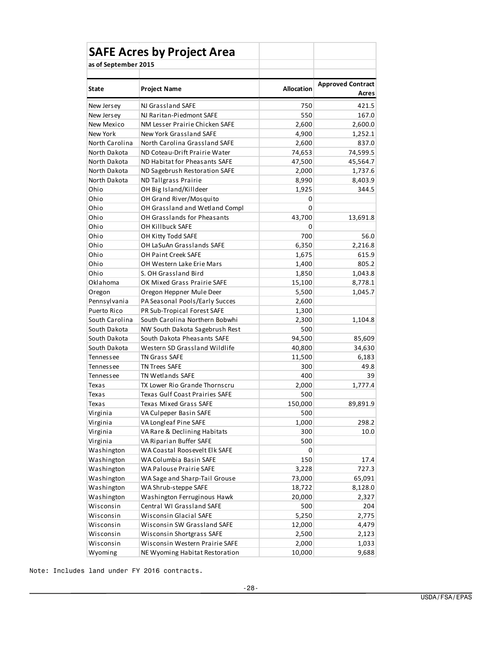|                      | <b>SAFE Acres by Project Area</b>     |                   |                          |
|----------------------|---------------------------------------|-------------------|--------------------------|
| as of September 2015 |                                       |                   |                          |
|                      |                                       |                   |                          |
| <b>State</b>         | <b>Project Name</b>                   | <b>Allocation</b> | <b>Approved Contract</b> |
|                      |                                       |                   | Acres                    |
| New Jersey           | NJ Grassland SAFE                     | 750               | 421.5                    |
| New Jersey           | NJ Raritan-Piedmont SAFE              | 550               | 167.0                    |
| New Mexico           | NM Lesser Prairie Chicken SAFE        | 2,600             | 2,600.0                  |
| New York             | <b>New York Grassland SAFE</b>        | 4,900             | 1,252.1                  |
| North Carolina       | North Carolina Grassland SAFE         | 2,600             | 837.0                    |
| North Dakota         | ND Coteau-Drift Prairie Water         | 74,653            | 74,599.5                 |
| North Dakota         | ND Habitat for Pheasants SAFE         | 47,500            | 45,564.7                 |
| North Dakota         | ND Sagebrush Restoration SAFE         | 2,000             | 1,737.6                  |
| North Dakota         | ND Tallgrass Prairie                  | 8,990             | 8,403.9                  |
| Ohio                 | OH Big Island/Killdeer                | 1,925             | 344.5                    |
| Ohio                 | OH Grand River/Mosquito               | 0                 |                          |
| Ohio                 | OH Grassland and Wetland Compl        | 0                 |                          |
| Ohio                 | OH Grasslands for Pheasants           | 43,700            | 13,691.8                 |
| Ohio                 | OH Killbuck SAFE                      | 0                 |                          |
| Ohio                 | OH Kitty Todd SAFE                    | 700               | 56.0                     |
| Ohio                 | OH LaSuAn Grasslands SAFE             | 6,350             | 2,216.8                  |
| Ohio                 | <b>OH Paint Creek SAFE</b>            | 1,675             | 615.9                    |
| Ohio                 | OH Western Lake Erie Mars             | 1,400             | 805.2                    |
| Ohio                 | S. OH Grassland Bird                  | 1,850             | 1,043.8                  |
| Oklahoma             | OK Mixed Grass Prairie SAFE           | 15,100            | 8,778.1                  |
| Oregon               | Oregon Heppner Mule Deer              | 5,500             | 1,045.7                  |
| Pennsylvania         | PA Seasonal Pools/Early Succes        | 2,600             |                          |
| Puerto Rico          | PR Sub-Tropical Forest SAFE           | 1,300             |                          |
| South Carolina       | South Carolina Northern Bobwhi        | 2,300             | 1,104.8                  |
| South Dakota         | NW South Dakota Sagebrush Rest        | 500               |                          |
| South Dakota         | South Dakota Pheasants SAFE           | 94,500            | 85,609                   |
| South Dakota         | Western SD Grassland Wildlife         | 40,800            | 34,630                   |
| Tennessee            | TN Grass SAFE                         | 11,500            | 6,183                    |
| Tennessee            | <b>TN Trees SAFE</b>                  | 300               | 49.8                     |
| Tennessee            | <b>TN Wetlands SAFE</b>               | 400               | 39                       |
| Texas                | TX Lower Rio Grande Thornscru         | 2,000             | 1,777.4                  |
| <b>Texas</b>         | <b>Texas Gulf Coast Prairies SAFE</b> | 500               |                          |
| Texas                | <b>Texas Mixed Grass SAFE</b>         | 150,000           | 89,891.9                 |
| Virginia             | VA Culpeper Basin SAFE                | 500               |                          |
| Virginia             | VA Longleaf Pine SAFE                 | 1,000             | 298.2                    |
| Virginia             | VA Rare & Declining Habitats          | 300               | 10.0                     |
| Virginia             | VA Riparian Buffer SAFE               | 500               |                          |
| Washington           | WA Coastal Roosevelt Elk SAFE         | 0                 |                          |
| Washington           | WA Columbia Basin SAFE                | 150               | 17.4                     |
| Washington           | WA Palouse Prairie SAFE               | 3,228             | 727.3                    |
| Washington           | WA Sage and Sharp-Tail Grouse         | 73,000            | 65,091                   |
| Washington           | WA Shrub-steppe SAFE                  | 18,722            | 8,128.0                  |
| Washington           | Washington Ferruginous Hawk           | 20,000            | 2,327                    |
| Wisconsin            | Central WI Grassland SAFE             | 500               | 204                      |
| Wisconsin            | Wisconsin Glacial SAFE                | 5,250             | 2,775                    |
| Wisconsin            | Wisconsin SW Grassland SAFE           | 12,000            | 4,479                    |
| Wisconsin            | Wisconsin Shortgrass SAFE             | 2,500             | 2,123                    |
| Wisconsin            | Wisconsin Western Prairie SAFE        | 2,000             | 1,033                    |
| Wyoming              | NE Wyoming Habitat Restoration        | 10,000            | 9,688                    |